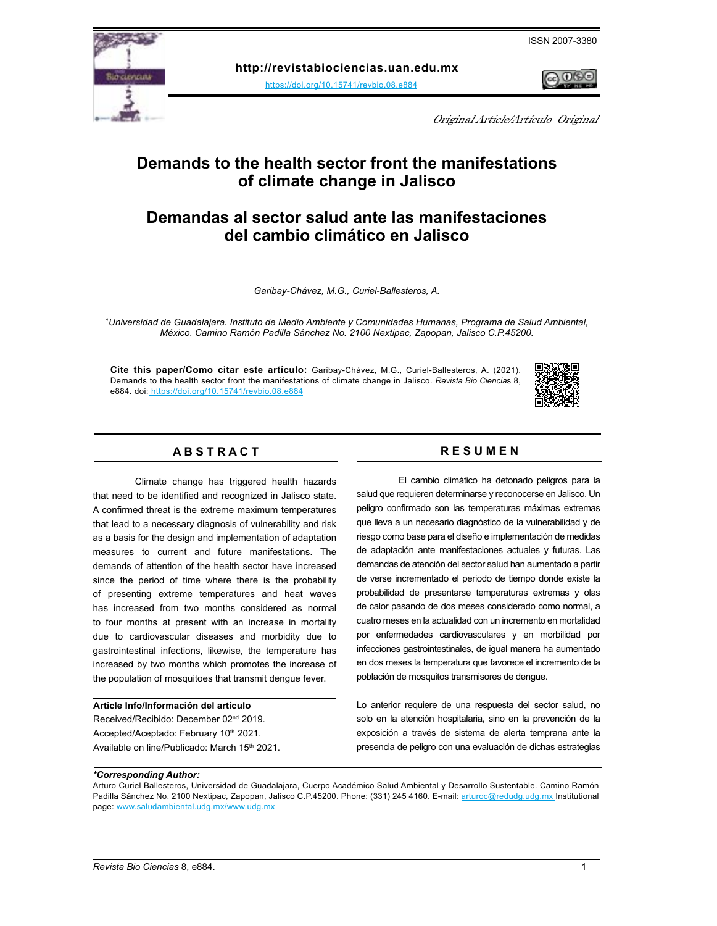

**http://revistabiociencias.uan.edu.mx** 

<https://doi.org/10.15741/revbio.08.e884>



Original Article/Artículo Original

# **Demands to the health sector front the manifestations of climate change in Jalisco**

# **Demandas al sector salud ante las manifestaciones del cambio climático en Jalisco**

*Garibay-Chávez, M.G., Curiel-Ballesteros, A.*

*1 Universidad de Guadalajara. Instituto de Medio Ambiente y Comunidades Humanas, Programa de Salud Ambiental, México. Camino Ramón Padilla Sánchez No. 2100 Nextipac, Zapopan, Jalisco C.P.45200.*

**Cite this paper/Como citar este artículo:** Garibay-Chávez, M.G., Curiel-Ballesteros, A. (2021). Demands to the health sector front the manifestations of climate change in Jalisco. *[Revista Bio Ciencia](doi: https://doi.org/10.15741/revbio.08.e982
)*s 8, [e884. doi:](doi: https://doi.org/10.15741/revbio.08.e982
) https://doi.org/10.15741/revbio.08.e884



# **A B S T R A C T R E S U M E N**

Climate change has triggered health hazards that need to be identified and recognized in Jalisco state. A confirmed threat is the extreme maximum temperatures that lead to a necessary diagnosis of vulnerability and risk as a basis for the design and implementation of adaptation measures to current and future manifestations. The demands of attention of the health sector have increased since the period of time where there is the probability of presenting extreme temperatures and heat waves has increased from two months considered as normal to four months at present with an increase in mortality due to cardiovascular diseases and morbidity due to gastrointestinal infections, likewise, the temperature has increased by two months which promotes the increase of the population of mosquitoes that transmit dengue fever.

#### **Article Info/Información del artículo**

Received/Recibido: December 02nd 2019. Accepted/Aceptado: February 10<sup>th</sup> 2021. Available on line/Publicado: March 15th 2021.

El cambio climático ha detonado peligros para la salud que requieren determinarse y reconocerse en Jalisco. Un peligro confirmado son las temperaturas máximas extremas que lleva a un necesario diagnóstico de la vulnerabilidad y de riesgo como base para el diseño e implementación de medidas de adaptación ante manifestaciones actuales y futuras. Las demandas de atención del sector salud han aumentado a partir de verse incrementado el periodo de tiempo donde existe la probabilidad de presentarse temperaturas extremas y olas de calor pasando de dos meses considerado como normal, a cuatro meses en la actualidad con un incremento en mortalidad por enfermedades cardiovasculares y en morbilidad por infecciones gastrointestinales, de igual manera ha aumentado en dos meses la temperatura que favorece el incremento de la población de mosquitos transmisores de dengue.

Lo anterior requiere de una respuesta del sector salud, no solo en la atención hospitalaria, sino en la prevención de la exposición a través de sistema de alerta temprana ante la presencia de peligro con una evaluación de dichas estrategias

#### *\*Corresponding Author:*

Arturo Curiel Ballesteros, Universidad de Guadalajara, Cuerpo Académico Salud Ambiental y Desarrollo Sustentable. Camino Ramón Padilla Sánchez No. 2100 Nextipac, Zapopan, Jalisco C.P.45200. Phone: (331) 245 4160. E-mail: [arturoc@redudg.udg.mx](mailto:arturoc%40redudg.udg.mx?subject=) Institutional page: [www.saludambiental.udg.mx/www.udg.mx](http://www.saludambiental.udg.mx/www.udg.mx)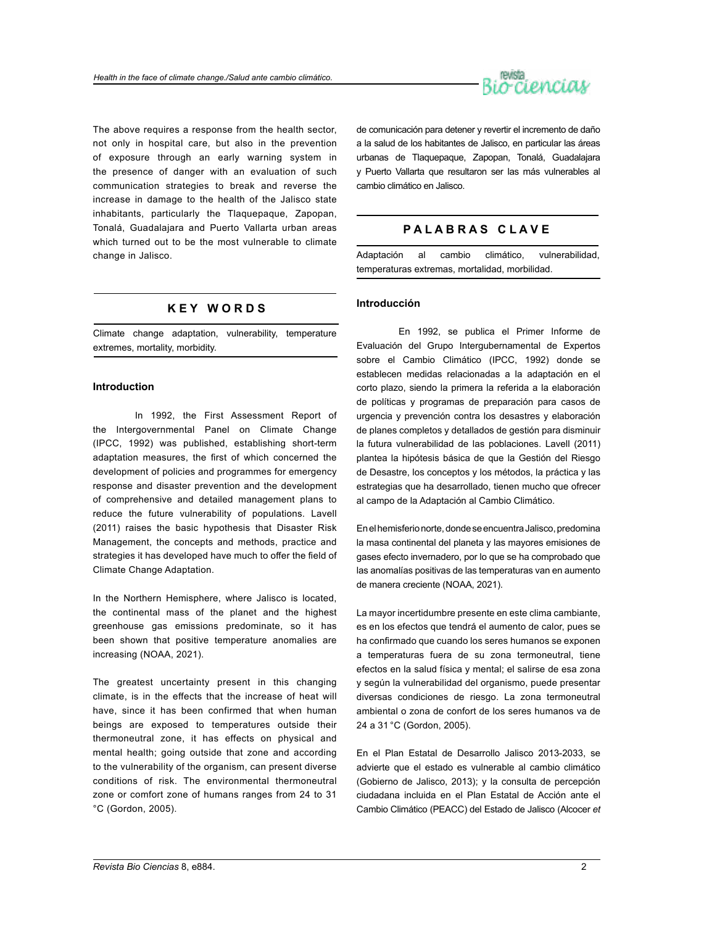

The above requires a response from the health sector, not only in hospital care, but also in the prevention of exposure through an early warning system in the presence of danger with an evaluation of such communication strategies to break and reverse the increase in damage to the health of the Jalisco state inhabitants, particularly the Tlaquepaque, Zapopan, Tonalá, Guadalajara and Puerto Vallarta urban areas which turned out to be the most vulnerable to climate change in Jalisco.

# **K E Y W O R D S**

Climate change adaptation, vulnerability, temperature extremes, mortality, morbidity.

#### **Introduction**

In 1992, the First Assessment Report of the Intergovernmental Panel on Climate Change (IPCC, 1992) was published, establishing short-term adaptation measures, the first of which concerned the development of policies and programmes for emergency response and disaster prevention and the development of comprehensive and detailed management plans to reduce the future vulnerability of populations. Lavell (2011) raises the basic hypothesis that Disaster Risk Management, the concepts and methods, practice and strategies it has developed have much to offer the field of Climate Change Adaptation.

In the Northern Hemisphere, where Jalisco is located, the continental mass of the planet and the highest greenhouse gas emissions predominate, so it has been shown that positive temperature anomalies are increasing (NOAA, 2021).

The greatest uncertainty present in this changing climate, is in the effects that the increase of heat will have, since it has been confirmed that when human beings are exposed to temperatures outside their thermoneutral zone, it has effects on physical and mental health; going outside that zone and according to the vulnerability of the organism, can present diverse conditions of risk. The environmental thermoneutral zone or comfort zone of humans ranges from 24 to 31 °C (Gordon, 2005).

de comunicación para detener y revertir el incremento de daño a la salud de los habitantes de Jalisco, en particular las áreas urbanas de Tlaquepaque, Zapopan, Tonalá, Guadalajara y Puerto Vallarta que resultaron ser las más vulnerables al cambio climático en Jalisco.

## **P A L A B R A S C L A V E**

Adaptación al cambio climático, vulnerabilidad, temperaturas extremas, mortalidad, morbilidad.

#### **Introducción**

En 1992, se publica el Primer Informe de Evaluación del Grupo Intergubernamental de Expertos sobre el Cambio Climático (IPCC, 1992) donde se establecen medidas relacionadas a la adaptación en el corto plazo, siendo la primera la referida a la elaboración de políticas y programas de preparación para casos de urgencia y prevención contra los desastres y elaboración de planes completos y detallados de gestión para disminuir la futura vulnerabilidad de las poblaciones. Lavell (2011) plantea la hipótesis básica de que la Gestión del Riesgo de Desastre, los conceptos y los métodos, la práctica y las estrategias que ha desarrollado, tienen mucho que ofrecer al campo de la Adaptación al Cambio Climático.

En el hemisferio norte, donde se encuentra Jalisco, predomina la masa continental del planeta y las mayores emisiones de gases efecto invernadero, por lo que se ha comprobado que las anomalías positivas de las temperaturas van en aumento de manera creciente (NOAA, 2021).

La mayor incertidumbre presente en este clima cambiante, es en los efectos que tendrá el aumento de calor, pues se ha confirmado que cuando los seres humanos se exponen a temperaturas fuera de su zona termoneutral, tiene efectos en la salud física y mental; el salirse de esa zona y según la vulnerabilidad del organismo, puede presentar diversas condiciones de riesgo. La zona termoneutral ambiental o zona de confort de los seres humanos va de 24 a 31 °C (Gordon, 2005).

En el Plan Estatal de Desarrollo Jalisco 2013-2033, se advierte que el estado es vulnerable al cambio climático (Gobierno de Jalisco, 2013); y la consulta de percepción ciudadana incluida en el Plan Estatal de Acción ante el Cambio Climático (PEACC) del Estado de Jalisco (Alcocer *et*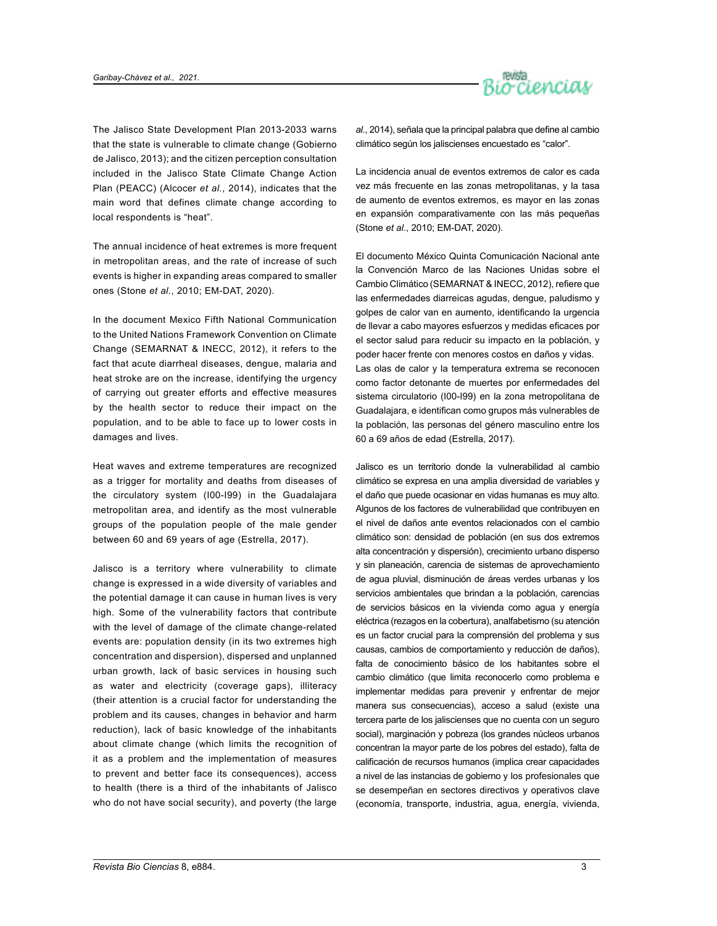

The Jalisco State Development Plan 2013-2033 warns that the state is vulnerable to climate change (Gobierno de Jalisco, 2013); and the citizen perception consultation included in the Jalisco State Climate Change Action Plan (PEACC) (Alcocer *et al.*, 2014), indicates that the main word that defines climate change according to local respondents is "heat".

The annual incidence of heat extremes is more frequent in metropolitan areas, and the rate of increase of such events is higher in expanding areas compared to smaller ones (Stone *et al.*, 2010; EM-DAT, 2020).

In the document Mexico Fifth National Communication to the United Nations Framework Convention on Climate Change (SEMARNAT & INECC, 2012), it refers to the fact that acute diarrheal diseases, dengue, malaria and heat stroke are on the increase, identifying the urgency of carrying out greater efforts and effective measures by the health sector to reduce their impact on the population, and to be able to face up to lower costs in damages and lives.

Heat waves and extreme temperatures are recognized as a trigger for mortality and deaths from diseases of the circulatory system (I00-I99) in the Guadalajara metropolitan area, and identify as the most vulnerable groups of the population people of the male gender between 60 and 69 years of age (Estrella, 2017).

Jalisco is a territory where vulnerability to climate change is expressed in a wide diversity of variables and the potential damage it can cause in human lives is very high. Some of the vulnerability factors that contribute with the level of damage of the climate change-related events are: population density (in its two extremes high concentration and dispersion), dispersed and unplanned urban growth, lack of basic services in housing such as water and electricity (coverage gaps), illiteracy (their attention is a crucial factor for understanding the problem and its causes, changes in behavior and harm reduction), lack of basic knowledge of the inhabitants about climate change (which limits the recognition of it as a problem and the implementation of measures to prevent and better face its consequences), access to health (there is a third of the inhabitants of Jalisco who do not have social security), and poverty (the large

*al.*, 2014), señala que la principal palabra que define al cambio climático según los jaliscienses encuestado es "calor".

La incidencia anual de eventos extremos de calor es cada vez más frecuente en las zonas metropolitanas, y la tasa de aumento de eventos extremos, es mayor en las zonas en expansión comparativamente con las más pequeñas (Stone *et al.*, 2010; EM-DAT, 2020).

El documento México Quinta Comunicación Nacional ante la Convención Marco de las Naciones Unidas sobre el Cambio Climático (SEMARNAT & INECC, 2012), refiere que las enfermedades diarreicas agudas, dengue, paludismo y golpes de calor van en aumento, identificando la urgencia de llevar a cabo mayores esfuerzos y medidas eficaces por el sector salud para reducir su impacto en la población, y poder hacer frente con menores costos en daños y vidas. Las olas de calor y la temperatura extrema se reconocen como factor detonante de muertes por enfermedades del sistema circulatorio (I00-I99) en la zona metropolitana de Guadalajara, e identifican como grupos más vulnerables de la población, las personas del género masculino entre los 60 a 69 años de edad (Estrella, 2017).

Jalisco es un territorio donde la vulnerabilidad al cambio climático se expresa en una amplia diversidad de variables y el daño que puede ocasionar en vidas humanas es muy alto. Algunos de los factores de vulnerabilidad que contribuyen en el nivel de daños ante eventos relacionados con el cambio climático son: densidad de población (en sus dos extremos alta concentración y dispersión), crecimiento urbano disperso y sin planeación, carencia de sistemas de aprovechamiento de agua pluvial, disminución de áreas verdes urbanas y los servicios ambientales que brindan a la población, carencias de servicios básicos en la vivienda como agua y energía eléctrica (rezagos en la cobertura), analfabetismo (su atención es un factor crucial para la comprensión del problema y sus causas, cambios de comportamiento y reducción de daños), falta de conocimiento básico de los habitantes sobre el cambio climático (que limita reconocerlo como problema e implementar medidas para prevenir y enfrentar de mejor manera sus consecuencias), acceso a salud (existe una tercera parte de los jaliscienses que no cuenta con un seguro social), marginación y pobreza (los grandes núcleos urbanos concentran la mayor parte de los pobres del estado), falta de calificación de recursos humanos (implica crear capacidades a nivel de las instancias de gobierno y los profesionales que se desempeñan en sectores directivos y operativos clave (economía, transporte, industria, agua, energía, vivienda,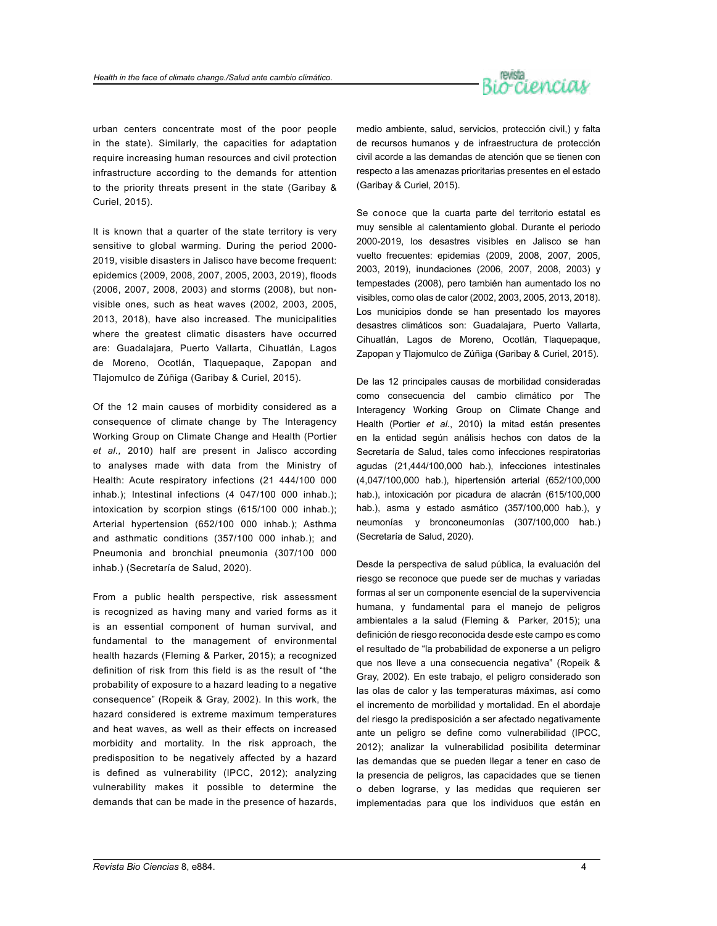

urban centers concentrate most of the poor people in the state). Similarly, the capacities for adaptation require increasing human resources and civil protection infrastructure according to the demands for attention to the priority threats present in the state (Garibay & Curiel, 2015).

It is known that a quarter of the state territory is very sensitive to global warming. During the period 2000- 2019, visible disasters in Jalisco have become frequent: epidemics (2009, 2008, 2007, 2005, 2003, 2019), floods (2006, 2007, 2008, 2003) and storms (2008), but nonvisible ones, such as heat waves (2002, 2003, 2005, 2013, 2018), have also increased. The municipalities where the greatest climatic disasters have occurred are: Guadalajara, Puerto Vallarta, Cihuatlán, Lagos de Moreno, Ocotlán, Tlaquepaque, Zapopan and Tlajomulco de Zúñiga (Garibay & Curiel, 2015).

Of the 12 main causes of morbidity considered as a consequence of climate change by The Interagency Working Group on Climate Change and Health (Portier *et al.,* 2010) half are present in Jalisco according to analyses made with data from the Ministry of Health: Acute respiratory infections (21 444/100 000 inhab.); Intestinal infections (4 047/100 000 inhab.); intoxication by scorpion stings (615/100 000 inhab.); Arterial hypertension (652/100 000 inhab.); Asthma and asthmatic conditions (357/100 000 inhab.); and Pneumonia and bronchial pneumonia (307/100 000 inhab.) (Secretaría de Salud, 2020).

From a public health perspective, risk assessment is recognized as having many and varied forms as it is an essential component of human survival, and fundamental to the management of environmental health hazards (Fleming & Parker, 2015); a recognized definition of risk from this field is as the result of "the probability of exposure to a hazard leading to a negative consequence" (Ropeik & Gray, 2002). In this work, the hazard considered is extreme maximum temperatures and heat waves, as well as their effects on increased morbidity and mortality. In the risk approach, the predisposition to be negatively affected by a hazard is defined as vulnerability (IPCC, 2012); analyzing vulnerability makes it possible to determine the demands that can be made in the presence of hazards,

medio ambiente, salud, servicios, protección civil,) y falta de recursos humanos y de infraestructura de protección civil acorde a las demandas de atención que se tienen con respecto a las amenazas prioritarias presentes en el estado (Garibay & Curiel, 2015).

Se conoce que la cuarta parte del territorio estatal es muy sensible al calentamiento global. Durante el periodo 2000-2019, los desastres visibles en Jalisco se han vuelto frecuentes: epidemias (2009, 2008, 2007, 2005, 2003, 2019), inundaciones (2006, 2007, 2008, 2003) y tempestades (2008), pero también han aumentado los no visibles, como olas de calor (2002, 2003, 2005, 2013, 2018). Los municipios donde se han presentado los mayores desastres climáticos son: Guadalajara, Puerto Vallarta, Cihuatlán, Lagos de Moreno, Ocotlán, Tlaquepaque, Zapopan y Tlajomulco de Zúñiga (Garibay & Curiel, 2015).

De las 12 principales causas de morbilidad consideradas como consecuencia del cambio climático por The Interagency Working Group on Climate Change and Health (Portier *et al*., 2010) la mitad están presentes en la entidad según análisis hechos con datos de la Secretaría de Salud, tales como infecciones respiratorias agudas (21,444/100,000 hab.), infecciones intestinales (4,047/100,000 hab.), hipertensión arterial (652/100,000 hab.), intoxicación por picadura de alacrán (615/100,000 hab.), asma y estado asmático (357/100,000 hab.), y neumonías y bronconeumonías (307/100,000 hab.) (Secretaría de Salud, 2020).

Desde la perspectiva de salud pública, la evaluación del riesgo se reconoce que puede ser de muchas y variadas formas al ser un componente esencial de la supervivencia humana, y fundamental para el manejo de peligros ambientales a la salud (Fleming & Parker, 2015); una definición de riesgo reconocida desde este campo es como el resultado de "la probabilidad de exponerse a un peligro que nos lleve a una consecuencia negativa" (Ropeik & Gray, 2002). En este trabajo, el peligro considerado son las olas de calor y las temperaturas máximas, así como el incremento de morbilidad y mortalidad. En el abordaje del riesgo la predisposición a ser afectado negativamente ante un peligro se define como vulnerabilidad (IPCC, 2012); analizar la vulnerabilidad posibilita determinar las demandas que se pueden llegar a tener en caso de la presencia de peligros, las capacidades que se tienen o deben lograrse, y las medidas que requieren ser implementadas para que los individuos que están en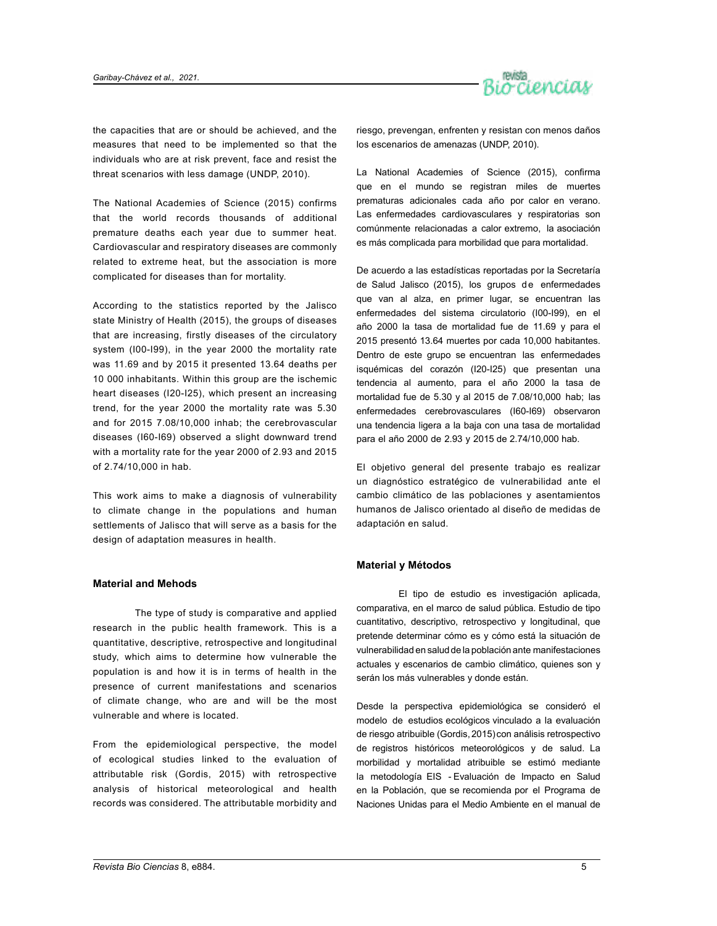

the capacities that are or should be achieved, and the measures that need to be implemented so that the individuals who are at risk prevent, face and resist the threat scenarios with less damage (UNDP, 2010).

The National Academies of Science (2015) confirms that the world records thousands of additional premature deaths each year due to summer heat. Cardiovascular and respiratory diseases are commonly related to extreme heat, but the association is more complicated for diseases than for mortality.

According to the statistics reported by the Jalisco state Ministry of Health (2015), the groups of diseases that are increasing, firstly diseases of the circulatory system (I00-I99), in the year 2000 the mortality rate was 11.69 and by 2015 it presented 13.64 deaths per 10 000 inhabitants. Within this group are the ischemic heart diseases (I20-I25), which present an increasing trend, for the year 2000 the mortality rate was 5.30 and for 2015 7.08/10,000 inhab; the cerebrovascular diseases (I60-I69) observed a slight downward trend with a mortality rate for the year 2000 of 2.93 and 2015 of 2.74/10,000 in hab.

This work aims to make a diagnosis of vulnerability to climate change in the populations and human settlements of Jalisco that will serve as a basis for the design of adaptation measures in health.

#### **Material and Mehods**

The type of study is comparative and applied research in the public health framework. This is a quantitative, descriptive, retrospective and longitudinal study, which aims to determine how vulnerable the population is and how it is in terms of health in the presence of current manifestations and scenarios of climate change, who are and will be the most vulnerable and where is located.

From the epidemiological perspective, the model of ecological studies linked to the evaluation of attributable risk (Gordis, 2015) with retrospective analysis of historical meteorological and health records was considered. The attributable morbidity and

riesgo, prevengan, enfrenten y resistan con menos daños los escenarios de amenazas (UNDP, 2010).

La National Academies of Science (2015), confirma que en el mundo se registran miles de muertes prematuras adicionales cada año por calor en verano. Las enfermedades cardiovasculares y respiratorias son comúnmente relacionadas a calor extremo, la asociación es más complicada para morbilidad que para mortalidad.

De acuerdo a las estadísticas reportadas por la Secretaría de Salud Jalisco (2015), los grupos de enfermedades que van al alza, en primer lugar, se encuentran las enfermedades del sistema circulatorio (I00-I99), en el año 2000 la tasa de mortalidad fue de 11.69 y para el 2015 presentó 13.64 muertes por cada 10,000 habitantes. Dentro de este grupo se encuentran las enfermedades isquémicas del corazón (I20-I25) que presentan una tendencia al aumento, para el año 2000 la tasa de mortalidad fue de 5.30 y al 2015 de 7.08/10,000 hab; las enfermedades cerebrovasculares (I60-I69) observaron una tendencia ligera a la baja con una tasa de mortalidad para el año 2000 de 2.93 y 2015 de 2.74/10,000 hab.

El objetivo general del presente trabajo es realizar un diagnóstico estratégico de vulnerabilidad ante el cambio climático de las poblaciones y asentamientos humanos de Jalisco orientado al diseño de medidas de adaptación en salud.

#### **Material y Métodos**

El tipo de estudio es investigación aplicada, comparativa, en el marco de salud pública. Estudio de tipo cuantitativo, descriptivo, retrospectivo y longitudinal, que pretende determinar cómo es y cómo está la situación de vulnerabilidad en salud de la población ante manifestaciones actuales y escenarios de cambio climático, quienes son y serán los más vulnerables y donde están.

Desde la perspectiva epidemiológica se consideró el modelo de estudios ecológicos vinculado a la evaluación de riesgo atribuible (Gordis, 2015) con análisis retrospectivo de registros históricos meteorológicos y de salud. La morbilidad y mortalidad atribuible se estimó mediante la metodología EIS - Evaluación de Impacto en Salud en la Población, que se recomienda por el Programa de Naciones Unidas para el Medio Ambiente en el manual de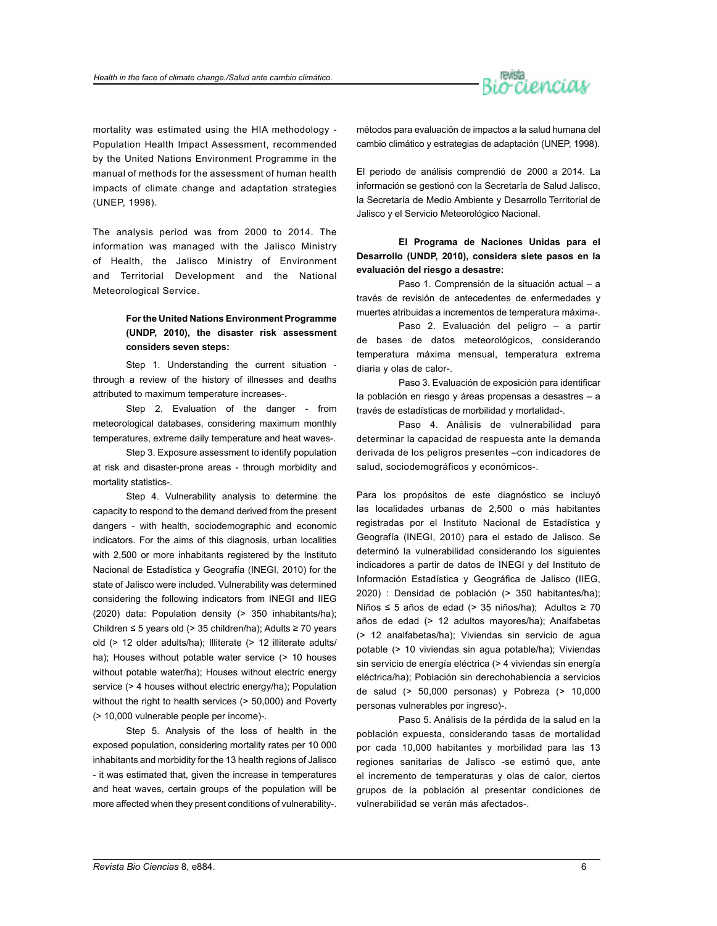

mortality was estimated using the HIA methodology - Population Health Impact Assessment, recommended by the United Nations Environment Programme in the manual of methods for the assessment of human health impacts of climate change and adaptation strategies (UNEP, 1998).

The analysis period was from 2000 to 2014. The information was managed with the Jalisco Ministry of Health, the Jalisco Ministry of Environment and Territorial Development and the National Meteorological Service.

# **For the United Nations Environment Programme (UNDP, 2010), the disaster risk assessment considers seven steps:**

Step 1. Understanding the current situation through a review of the history of illnesses and deaths attributed to maximum temperature increases-.

Step 2. Evaluation of the danger - from meteorological databases, considering maximum monthly temperatures, extreme daily temperature and heat waves-.

Step 3. Exposure assessment to identify population at risk and disaster-prone areas - through morbidity and mortality statistics-.

Step 4. Vulnerability analysis to determine the capacity to respond to the demand derived from the present dangers - with health, sociodemographic and economic indicators. For the aims of this diagnosis, urban localities with 2,500 or more inhabitants registered by the Instituto Nacional de Estadística y Geografía (INEGI, 2010) for the state of Jalisco were included. Vulnerability was determined considering the following indicators from INEGI and IIEG (2020) data: Population density (> 350 inhabitants/ha); Children ≤ 5 years old (> 35 children/ha); Adults ≥ 70 years old (> 12 older adults/ha); Illiterate (> 12 illiterate adults/ ha); Houses without potable water service (> 10 houses without potable water/ha); Houses without electric energy service (> 4 houses without electric energy/ha); Population without the right to health services (> 50,000) and Poverty (> 10,000 vulnerable people per income)-.

Step 5. Analysis of the loss of health in the exposed population, considering mortality rates per 10 000 inhabitants and morbidity for the 13 health regions of Jalisco - it was estimated that, given the increase in temperatures and heat waves, certain groups of the population will be more affected when they present conditions of vulnerability-. métodos para evaluación de impactos a la salud humana del cambio climático y estrategias de adaptación (UNEP, 1998).

El periodo de análisis comprendió de 2000 a 2014. La información se gestionó con la Secretaría de Salud Jalisco, la Secretaría de Medio Ambiente y Desarrollo Territorial de Jalisco y el Servicio Meteorológico Nacional.

**El Programa de Naciones Unidas para el Desarrollo (UNDP, 2010), considera siete pasos en la evaluación del riesgo a desastre:**

Paso 1. Comprensión de la situación actual – a través de revisión de antecedentes de enfermedades y muertes atribuidas a incrementos de temperatura máxima-.

Paso 2. Evaluación del peligro – a partir de bases de datos meteorológicos, considerando temperatura máxima mensual, temperatura extrema diaria y olas de calor-.

Paso 3. Evaluación de exposición para identificar la población en riesgo y áreas propensas a desastres – a través de estadísticas de morbilidad y mortalidad-.

Paso 4. Análisis de vulnerabilidad para determinar la capacidad de respuesta ante la demanda derivada de los peligros presentes –con indicadores de salud, sociodemográficos y económicos-.

Para los propósitos de este diagnóstico se incluyó las localidades urbanas de 2,500 o más habitantes registradas por el Instituto Nacional de Estadística y Geografía (INEGI, 2010) para el estado de Jalisco. Se determinó la vulnerabilidad considerando los siguientes indicadores a partir de datos de INEGI y del Instituto de Información Estadística y Geográfica de Jalisco (IIEG, 2020) : Densidad de población (> 350 habitantes/ha); Niños ≤ 5 años de edad (> 35 niños/ha); Adultos ≥ 70 años de edad (> 12 adultos mayores/ha); Analfabetas (> 12 analfabetas/ha); Viviendas sin servicio de agua potable (> 10 viviendas sin agua potable/ha); Viviendas sin servicio de energía eléctrica (> 4 viviendas sin energía eléctrica/ha); Población sin derechohabiencia a servicios de salud (> 50,000 personas) y Pobreza (> 10,000 personas vulnerables por ingreso)-.

Paso 5. Análisis de la pérdida de la salud en la población expuesta, considerando tasas de mortalidad por cada 10,000 habitantes y morbilidad para las 13 regiones sanitarias de Jalisco -se estimó que, ante el incremento de temperaturas y olas de calor, ciertos grupos de la población al presentar condiciones de vulnerabilidad se verán más afectados-.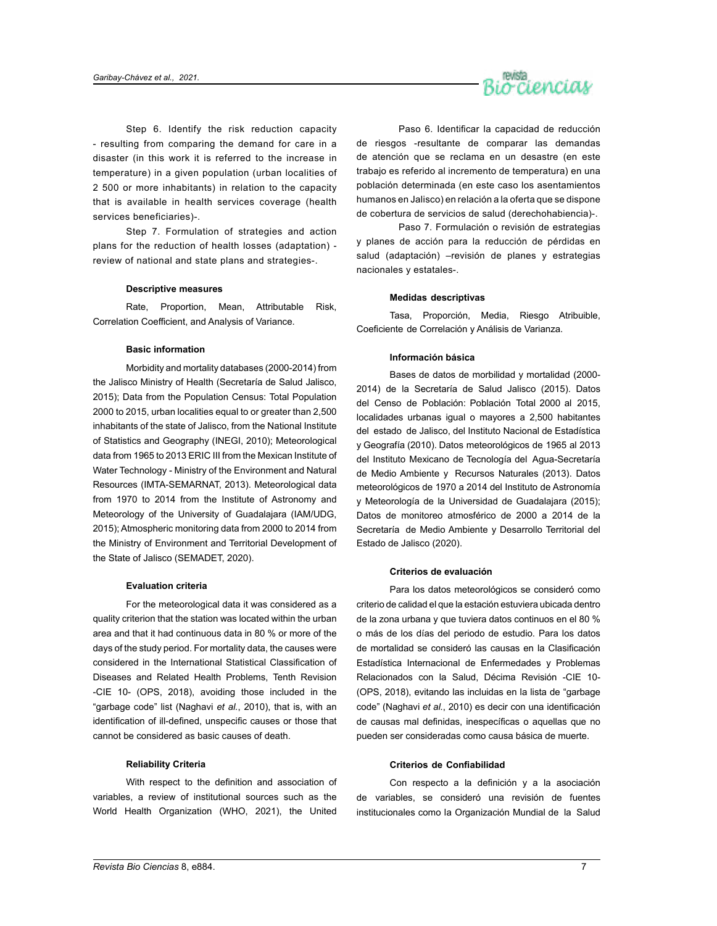

Step 6. Identify the risk reduction capacity - resulting from comparing the demand for care in a disaster (in this work it is referred to the increase in temperature) in a given population (urban localities of 2 500 or more inhabitants) in relation to the capacity that is available in health services coverage (health services beneficiaries)-.

Step 7. Formulation of strategies and action plans for the reduction of health losses (adaptation) review of national and state plans and strategies-.

#### **Descriptive measures**

Rate, Proportion, Mean, Attributable Risk, Correlation Coefficient, and Analysis of Variance.

#### **Basic information**

Morbidity and mortality databases (2000-2014) from the Jalisco Ministry of Health (Secretaría de Salud Jalisco, 2015); Data from the Population Census: Total Population 2000 to 2015, urban localities equal to or greater than 2,500 inhabitants of the state of Jalisco, from the National Institute of Statistics and Geography (INEGI, 2010); Meteorological data from 1965 to 2013 ERIC III from the Mexican Institute of Water Technology - Ministry of the Environment and Natural Resources (IMTA-SEMARNAT, 2013). Meteorological data from 1970 to 2014 from the Institute of Astronomy and Meteorology of the University of Guadalajara (IAM/UDG, 2015); Atmospheric monitoring data from 2000 to 2014 from the Ministry of Environment and Territorial Development of the State of Jalisco (SEMADET, 2020).

#### **Evaluation criteria**

For the meteorological data it was considered as a quality criterion that the station was located within the urban area and that it had continuous data in 80 % or more of the days of the study period. For mortality data, the causes were considered in the International Statistical Classification of Diseases and Related Health Problems, Tenth Revision -CIE 10- (OPS, 2018), avoiding those included in the "garbage code" list (Naghavi *et al.*, 2010), that is, with an identification of ill-defined, unspecific causes or those that cannot be considered as basic causes of death.

#### **Reliability Criteria**

With respect to the definition and association of variables, a review of institutional sources such as the World Health Organization (WHO, 2021), the United

Paso 6. Identificar la capacidad de reducción de riesgos -resultante de comparar las demandas de atención que se reclama en un desastre (en este trabajo es referido al incremento de temperatura) en una población determinada (en este caso los asentamientos humanos en Jalisco) en relación a la oferta que se dispone de cobertura de servicios de salud (derechohabiencia)-.

Paso 7. Formulación o revisión de estrategias y planes de acción para la reducción de pérdidas en salud (adaptación) –revisión de planes y estrategias nacionales y estatales-.

#### **Medidas descriptivas**

Tasa, Proporción, Media, Riesgo Atribuible, Coeficiente de Correlación y Análisis de Varianza.

#### **Información básica**

Bases de datos de morbilidad y mortalidad (2000- 2014) de la Secretaría de Salud Jalisco (2015). Datos del Censo de Población: Población Total 2000 al 2015, localidades urbanas igual o mayores a 2,500 habitantes del estado de Jalisco, del Instituto Nacional de Estadística y Geografía (2010). Datos meteorológicos de 1965 al 2013 del Instituto Mexicano de Tecnología del Agua-Secretaría de Medio Ambiente y Recursos Naturales (2013). Datos meteorológicos de 1970 a 2014 del Instituto de Astronomía y Meteorología de la Universidad de Guadalajara (2015); Datos de monitoreo atmosférico de 2000 a 2014 de la Secretaría de Medio Ambiente y Desarrollo Territorial del Estado de Jalisco (2020).

#### **Criterios de evaluación**

Para los datos meteorológicos se consideró como criterio de calidad el que la estación estuviera ubicada dentro de la zona urbana y que tuviera datos continuos en el 80 % o más de los días del periodo de estudio. Para los datos de mortalidad se consideró las causas en la Clasificación Estadística Internacional de Enfermedades y Problemas Relacionados con la Salud, Décima Revisión -CIE 10- (OPS, 2018), evitando las incluidas en la lista de "garbage code" (Naghavi *et al.*, 2010) es decir con una identificación de causas mal definidas, inespecíficas o aquellas que no pueden ser consideradas como causa básica de muerte.

#### **Criterios de Confiabilidad**

Con respecto a la definición y a la asociación de variables, se consideró una revisión de fuentes institucionales como la Organización Mundial de la Salud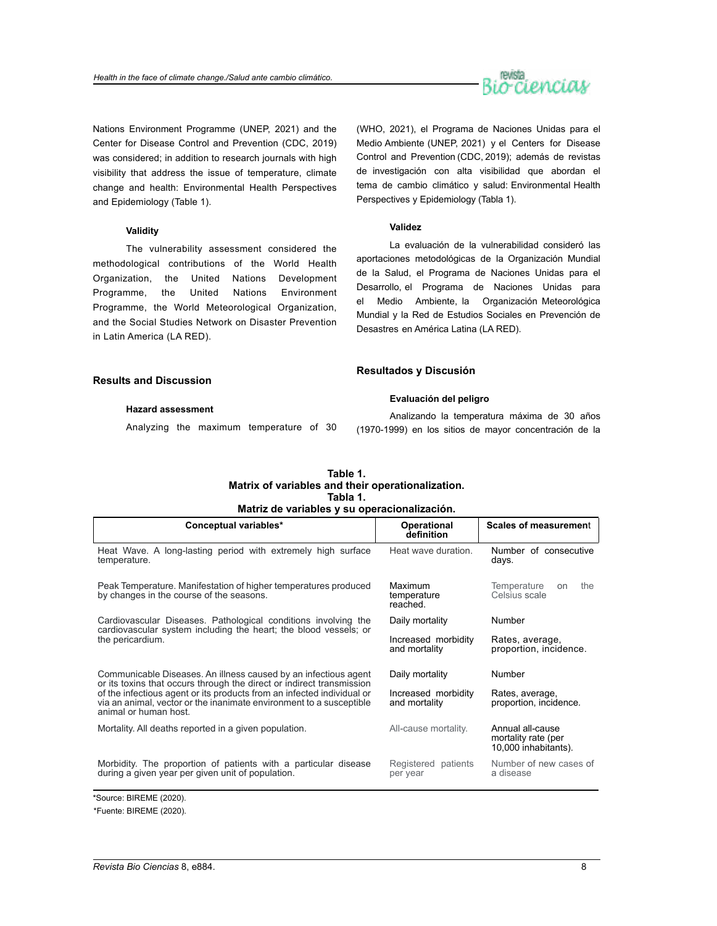

Nations Environment Programme (UNEP, 2021) and the Center for Disease Control and Prevention (CDC, 2019) was considered; in addition to research journals with high visibility that address the issue of temperature, climate change and health: Environmental Health Perspectives and Epidemiology (Table 1).

#### **Validity**

The vulnerability assessment considered the methodological contributions of the World Health Organization, the United Nations Development Programme, the United Nations Environment Programme, the World Meteorological Organization, and the Social Studies Network on Disaster Prevention in Latin America (LA RED).

(WHO, 2021), el Programa de Naciones Unidas para el Medio Ambiente (UNEP, 2021) y el Centers for Disease Control and Prevention (CDC, 2019); además de revistas de investigación con alta visibilidad que abordan el tema de cambio climático y salud: Environmental Health Perspectives y Epidemiology (Tabla 1).

#### **Validez**

La evaluación de la vulnerabilidad consideró las aportaciones metodológicas de la Organización Mundial de la Salud, el Programa de Naciones Unidas para el Desarrollo, el Programa de Naciones Unidas para el Medio Ambiente, la Organización Meteorológica Mundial y la Red de Estudios Sociales en Prevención de Desastres en América Latina (LA RED).

| <b>Results and Discussion</b>           | Resultados y Discusión                                 |  |  |  |
|-----------------------------------------|--------------------------------------------------------|--|--|--|
|                                         | Evaluación del peligro                                 |  |  |  |
| <b>Hazard assessment</b>                | Analizando la temperatura máxima de 30 años            |  |  |  |
| Analyzing the maximum temperature of 30 | (1970-1999) en los sitios de mayor concentración de la |  |  |  |

#### **Tabla 1. Matriz de variables y su operacionalización. Table 1. Matrix of variables and their operationalization.**

| Conceptual variables*                                                                                                                                                                                                                           | Operational<br>definition            | <b>Scales of measurement</b>                                    |  |  |  |
|-------------------------------------------------------------------------------------------------------------------------------------------------------------------------------------------------------------------------------------------------|--------------------------------------|-----------------------------------------------------------------|--|--|--|
| Heat Wave. A long-lasting period with extremely high surface<br>temperature.                                                                                                                                                                    | Heat wave duration.                  | Number of consecutive<br>days.                                  |  |  |  |
| Peak Temperature. Manifestation of higher temperatures produced<br>by changes in the course of the seasons.                                                                                                                                     | Maximum<br>temperature<br>reached.   | Temperature<br>the<br>on<br>Celsius scale                       |  |  |  |
| Cardiovascular Diseases. Pathological conditions involving the<br>cardiovascular system including the heart; the blood vessels; or                                                                                                              | Daily mortality                      | Number                                                          |  |  |  |
| the pericardium.                                                                                                                                                                                                                                | Increased morbidity<br>and mortality | Rates, average,<br>proportion, incidence.                       |  |  |  |
| Communicable Diseases. An illness caused by an infectious agent                                                                                                                                                                                 | Daily mortality                      | Number                                                          |  |  |  |
| or its toxins that occurs through the direct or indirect transmission<br>of the infectious agent or its products from an infected individual or<br>via an animal, vector or the inanimate environment to a susceptible<br>animal or human host. | Increased morbidity<br>and mortality | Rates, average,<br>proportion, incidence.                       |  |  |  |
| Mortality. All deaths reported in a given population.                                                                                                                                                                                           | All-cause mortality.                 | Annual all-cause<br>mortality rate (per<br>10,000 inhabitants). |  |  |  |
| Morbidity. The proportion of patients with a particular disease<br>during a given year per given unit of population.                                                                                                                            | Registered patients<br>per year      | Number of new cases of<br>a disease                             |  |  |  |

\*Source: BIREME (2020).

<sup>\*</sup>Fuente: BIREME (2020).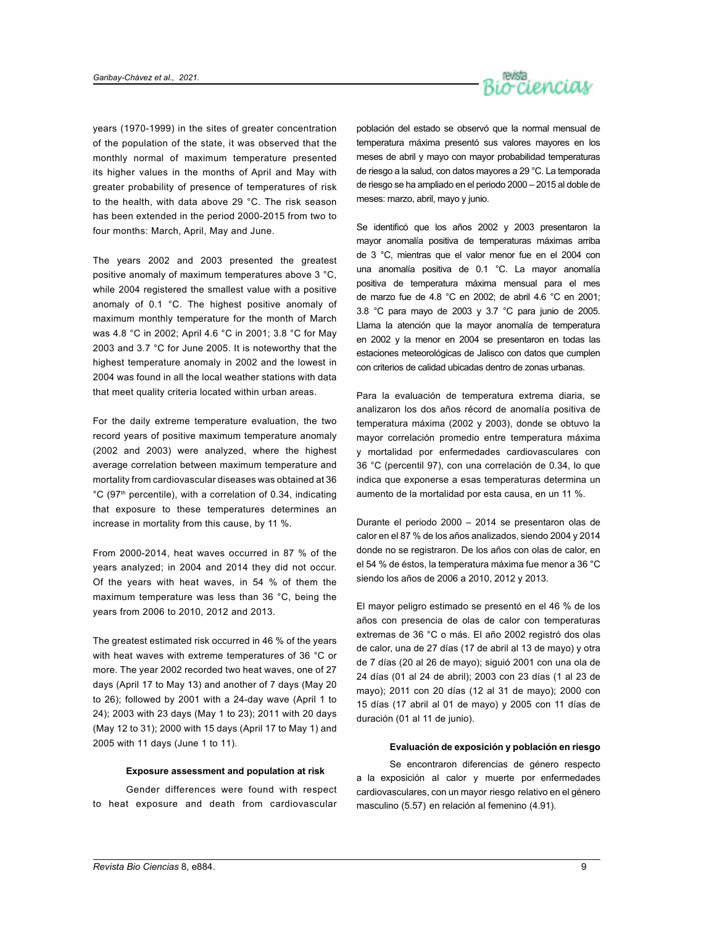

years (1970-1999) in the sites of greater concentration of the population of the state, it was observed that the monthly normal of maximum temperature presented its higher values in the months of April and May with greater probability of presence of temperatures of risk to the health, with data above 29 °C. The risk season has been extended in the period 2000-2015 from two to four months: March, April, May and June.

The years 2002 and 2003 presented the greatest positive anomaly of maximum temperatures above 3 °C, while 2004 registered the smallest value with a positive anomaly of 0.1 °C. The highest positive anomaly of maximum monthly temperature for the month of March was 4.8 °C in 2002; April 4.6 °C in 2001; 3.8 °C for May 2003 and 3.7 °C for June 2005. It is noteworthy that the highest temperature anomaly in 2002 and the lowest in 2004 was found in all the local weather stations with data that meet quality criteria located within urban areas.

For the daily extreme temperature evaluation, the two record years of positive maximum temperature anomaly (2002 and 2003) were analyzed, where the highest average correlation between maximum temperature and mortality from cardiovascular diseases was obtained at 36 °C (97th percentile), with a correlation of 0.34, indicating that exposure to these temperatures determines an increase in mortality from this cause, by 11 %.

From 2000-2014, heat waves occurred in 87 % of the years analyzed; in 2004 and 2014 they did not occur. Of the years with heat waves, in 54 % of them the maximum temperature was less than 36 °C, being the years from 2006 to 2010, 2012 and 2013.

The greatest estimated risk occurred in 46 % of the years with heat waves with extreme temperatures of 36 °C or more. The year 2002 recorded two heat waves, one of 27 days (April 17 to May 13) and another of 7 days (May 20 to 26); followed by 2001 with a 24-day wave (April 1 to 24); 2003 with 23 days (May 1 to 23); 2011 with 20 days (May 12 to 31); 2000 with 15 days (April 17 to May 1) and 2005 with 11 days (June 1 to 11).

#### **Exposure assessment and population at risk**

Gender differences were found with respect to heat exposure and death from cardiovascular

población del estado se observó que la normal mensual de temperatura máxima presentó sus valores mayores en los meses de abril y mayo con mayor probabilidad temperaturas de riesgo a la salud, con datos mayores a 29 °C. La temporada de riesgo se ha ampliado en el periodo 2000 – 2015 al doble de meses: marzo, abril, mayo y junio.

Se identificó que los años 2002 y 2003 presentaron la mayor anomalía positiva de temperaturas máximas arriba de 3 °C, mientras que el valor menor fue en el 2004 con una anomalía positiva de 0.1 °C. La mayor anomalía positiva de temperatura máxima mensual para el mes de marzo fue de 4.8 °C en 2002; de abril 4.6 °C en 2001; 3.8 °C para mayo de 2003 y 3.7 °C para junio de 2005. Llama la atención que la mayor anomalía de temperatura en 2002 y la menor en 2004 se presentaron en todas las estaciones meteorológicas de Jalisco con datos que cumplen con criterios de calidad ubicadas dentro de zonas urbanas.

Para la evaluación de temperatura extrema diaria, se analizaron los dos años récord de anomalía positiva de temperatura máxima (2002 y 2003), donde se obtuvo la mayor correlación promedio entre temperatura máxima y mortalidad por enfermedades cardiovasculares con 36 °C (percentil 97), con una correlación de 0.34, lo que indica que exponerse a esas temperaturas determina un aumento de la mortalidad por esta causa, en un 11 %.

Durante el periodo 2000 – 2014 se presentaron olas de calor en el 87 % de los años analizados, siendo 2004 y 2014 donde no se registraron. De los años con olas de calor, en el 54 % de éstos, la temperatura máxima fue menor a 36 °C siendo los años de 2006 a 2010, 2012 y 2013.

El mayor peligro estimado se presentó en el 46 % de los años con presencia de olas de calor con temperaturas extremas de 36 °C o más. El año 2002 registró dos olas de calor, una de 27 días (17 de abril al 13 de mayo) y otra de 7 días (20 al 26 de mayo); siguió 2001 con una ola de 24 días (01 al 24 de abril); 2003 con 23 días (1 al 23 de mayo); 2011 con 20 días (12 al 31 de mayo); 2000 con 15 días (17 abril al 01 de mayo) y 2005 con 11 días de duración (01 al 11 de junio).

#### **Evaluación de exposición y población en riesgo**

Se encontraron diferencias de género respecto a la exposición al calor y muerte por enfermedades cardiovasculares, con un mayor riesgo relativo en el género masculino (5.57) en relación al femenino (4.91).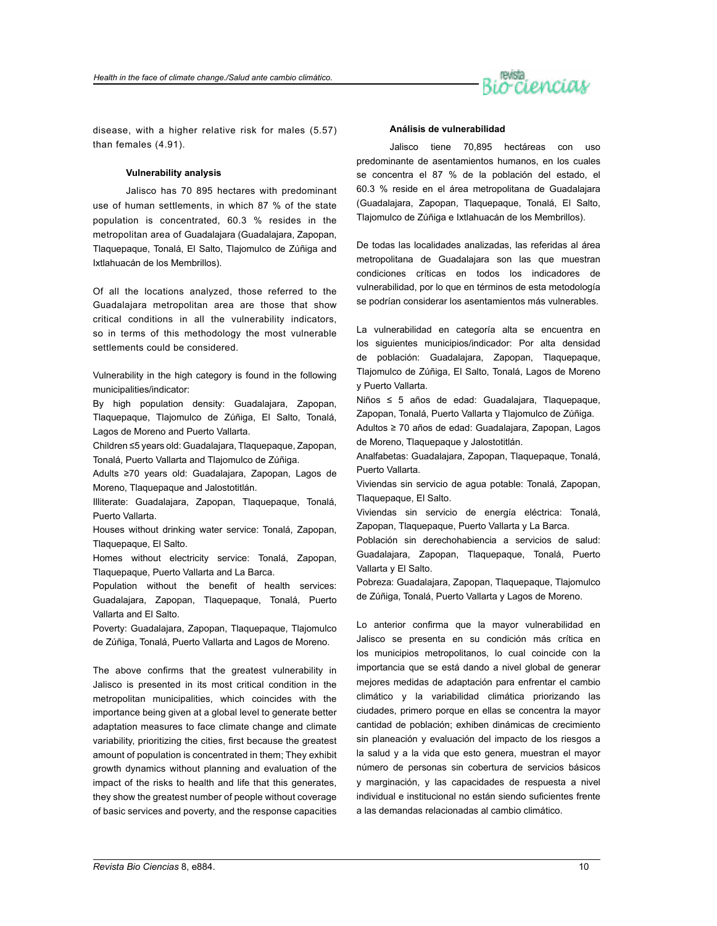

disease, with a higher relative risk for males (5.57) than females (4.91).

#### **Vulnerability analysis**

Jalisco has 70 895 hectares with predominant use of human settlements, in which 87 % of the state population is concentrated, 60.3 % resides in the metropolitan area of Guadalajara (Guadalajara, Zapopan, Tlaquepaque, Tonalá, El Salto, Tlajomulco de Zúñiga and Ixtlahuacán de los Membrillos).

Of all the locations analyzed, those referred to the Guadalajara metropolitan area are those that show critical conditions in all the vulnerability indicators, so in terms of this methodology the most vulnerable settlements could be considered.

Vulnerability in the high category is found in the following municipalities/indicator:

By high population density: Guadalajara, Zapopan, Tlaquepaque, Tlajomulco de Zúñiga, El Salto, Tonalá, Lagos de Moreno and Puerto Vallarta.

Children ≤5 years old: Guadalajara, Tlaquepaque, Zapopan, Tonalá, Puerto Vallarta and Tlajomulco de Zúñiga.

Adults ≥70 years old: Guadalajara, Zapopan, Lagos de Moreno, Tlaquepaque and Jalostotitlán.

Illiterate: Guadalajara, Zapopan, Tlaquepaque, Tonalá, Puerto Vallarta.

Houses without drinking water service: Tonalá, Zapopan, Tlaquepaque, El Salto.

Homes without electricity service: Tonalá, Zapopan, Tlaquepaque, Puerto Vallarta and La Barca.

Population without the benefit of health services: Guadalajara, Zapopan, Tlaquepaque, Tonalá, Puerto Vallarta and El Salto.

Poverty: Guadalajara, Zapopan, Tlaquepaque, Tlajomulco de Zúñiga, Tonalá, Puerto Vallarta and Lagos de Moreno.

The above confirms that the greatest vulnerability in Jalisco is presented in its most critical condition in the metropolitan municipalities, which coincides with the importance being given at a global level to generate better adaptation measures to face climate change and climate variability, prioritizing the cities, first because the greatest amount of population is concentrated in them; They exhibit growth dynamics without planning and evaluation of the impact of the risks to health and life that this generates, they show the greatest number of people without coverage of basic services and poverty, and the response capacities

#### **Análisis de vulnerabilidad**

Jalisco tiene 70,895 hectáreas con uso predominante de asentamientos humanos, en los cuales se concentra el 87 % de la población del estado, el 60.3 % reside en el área metropolitana de Guadalajara (Guadalajara, Zapopan, Tlaquepaque, Tonalá, El Salto, Tlajomulco de Zúñiga e Ixtlahuacán de los Membrillos).

De todas las localidades analizadas, las referidas al área metropolitana de Guadalajara son las que muestran condiciones críticas en todos los indicadores de vulnerabilidad, por lo que en términos de esta metodología se podrían considerar los asentamientos más vulnerables.

La vulnerabilidad en categoría alta se encuentra en los siguientes municipios/indicador: Por alta densidad de población: Guadalajara, Zapopan, Tlaquepaque, Tlajomulco de Zúñiga, El Salto, Tonalá, Lagos de Moreno y Puerto Vallarta.

Niños ≤ 5 años de edad: Guadalajara, Tlaquepaque, Zapopan, Tonalá, Puerto Vallarta y Tlajomulco de Zúñiga.

Adultos ≥ 70 años de edad: Guadalajara, Zapopan, Lagos de Moreno, Tlaquepaque y Jalostotitlán.

Analfabetas: Guadalajara, Zapopan, Tlaquepaque, Tonalá, Puerto Vallarta.

Viviendas sin servicio de agua potable: Tonalá, Zapopan, Tlaquepaque, El Salto.

Viviendas sin servicio de energía eléctrica: Tonalá, Zapopan, Tlaquepaque, Puerto Vallarta y La Barca.

Población sin derechohabiencia a servicios de salud: Guadalajara, Zapopan, Tlaquepaque, Tonalá, Puerto Vallarta y El Salto.

Pobreza: Guadalajara, Zapopan, Tlaquepaque, Tlajomulco de Zúñiga, Tonalá, Puerto Vallarta y Lagos de Moreno.

Lo anterior confirma que la mayor vulnerabilidad en Jalisco se presenta en su condición más crítica en los municipios metropolitanos, lo cual coincide con la importancia que se está dando a nivel global de generar mejores medidas de adaptación para enfrentar el cambio climático y la variabilidad climática priorizando las ciudades, primero porque en ellas se concentra la mayor cantidad de población; exhiben dinámicas de crecimiento sin planeación y evaluación del impacto de los riesgos a la salud y a la vida que esto genera, muestran el mayor número de personas sin cobertura de servicios básicos y marginación, y las capacidades de respuesta a nivel individual e institucional no están siendo suficientes frente a las demandas relacionadas al cambio climático.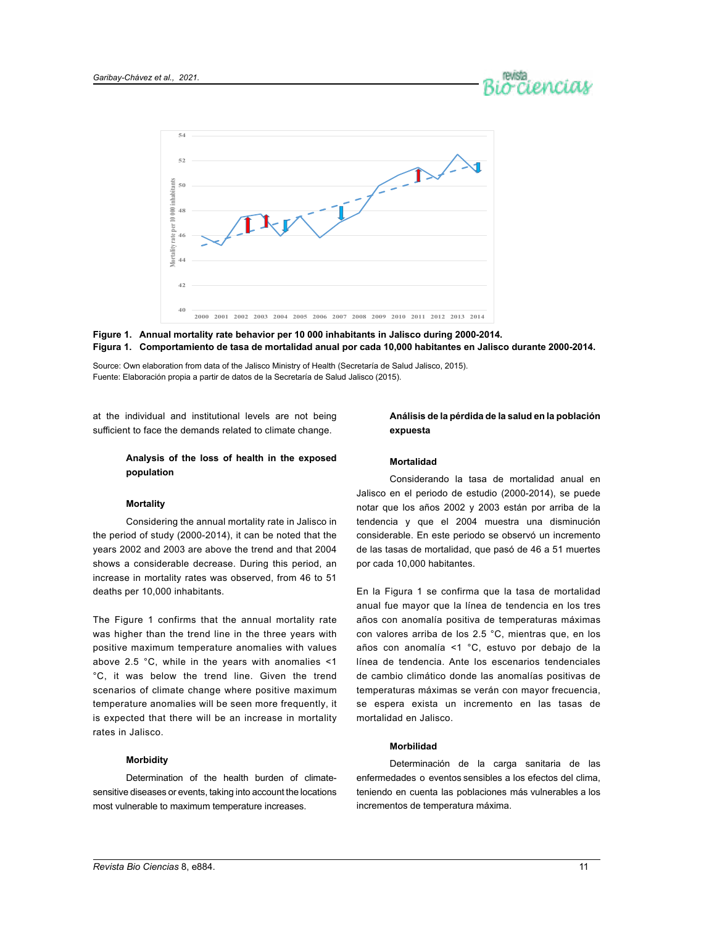



#### **Figura 1. Comportamiento de tasa de mortalidad anual por cada 10,000 habitantes en Jalisco durante 2000-2014. Figure 1. Annual mortality rate behavior per 10 000 inhabitants in Jalisco during 2000-2014.**

Fuente: Elaboración propia a partir de datos de la Secretaría de Salud Jalisco (2015). Source: Own elaboration from data of the Jalisco Ministry of Health (Secretaría de Salud Jalisco, 2015).

at the individual and institutional levels are not being sufficient to face the demands related to climate change.

#### **Analysis of the loss of health in the exposed population**

### **Mortality**

Considering the annual mortality rate in Jalisco in the period of study (2000-2014), it can be noted that the years 2002 and 2003 are above the trend and that 2004 shows a considerable decrease. During this period, an increase in mortality rates was observed, from 46 to 51 deaths per 10,000 inhabitants.

The Figure 1 confirms that the annual mortality rate was higher than the trend line in the three years with positive maximum temperature anomalies with values above 2.5 °C, while in the years with anomalies <1 °C, it was below the trend line. Given the trend scenarios of climate change where positive maximum temperature anomalies will be seen more frequently, it is expected that there will be an increase in mortality rates in Jalisco.

### **Morbidity**

Determination of the health burden of climatesensitive diseases or events, taking into account the locations most vulnerable to maximum temperature increases.

#### **Análisis de la pérdida de la salud en la población expuesta**

#### **Mortalidad**

Considerando la tasa de mortalidad anual en Jalisco en el periodo de estudio (2000-2014), se puede notar que los años 2002 y 2003 están por arriba de la tendencia y que el 2004 muestra una disminución considerable. En este periodo se observó un incremento de las tasas de mortalidad, que pasó de 46 a 51 muertes por cada 10,000 habitantes.

En la Figura 1 se confirma que la tasa de mortalidad anual fue mayor que la línea de tendencia en los tres años con anomalía positiva de temperaturas máximas con valores arriba de los 2.5 °C, mientras que, en los años con anomalía <1 °C, estuvo por debajo de la línea de tendencia. Ante los escenarios tendenciales de cambio climático donde las anomalías positivas de temperaturas máximas se verán con mayor frecuencia, se espera exista un incremento en las tasas de mortalidad en Jalisco.

#### **Morbilidad**

Determinación de la carga sanitaria de las enfermedades o eventos sensibles a los efectos del clima, teniendo en cuenta las poblaciones más vulnerables a los incrementos de temperatura máxima.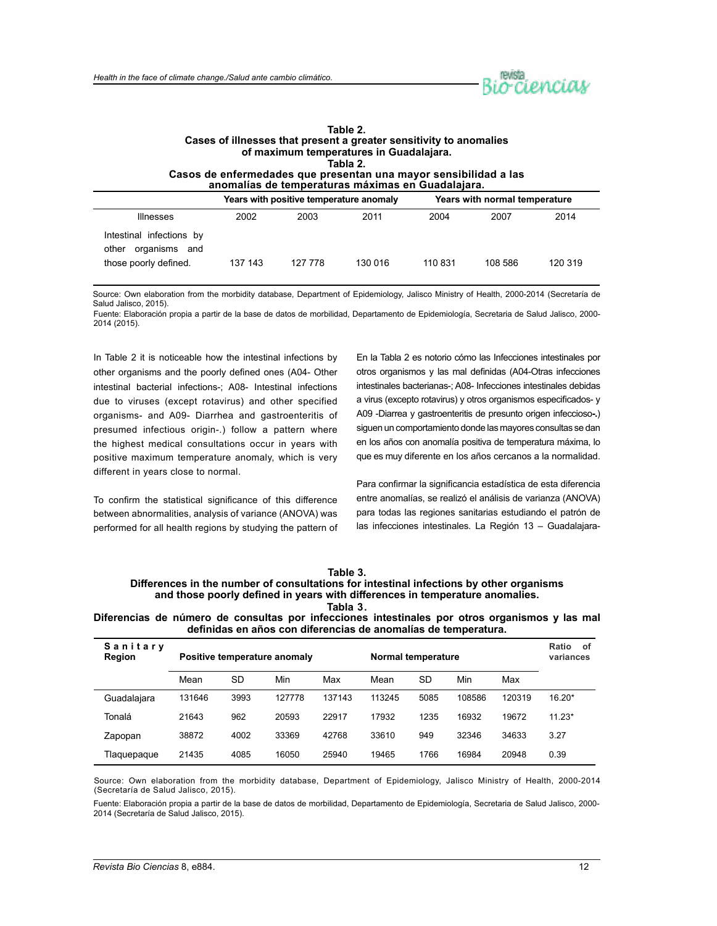

| Table 2.                                                                                                              |
|-----------------------------------------------------------------------------------------------------------------------|
| Cases of illnesses that present a greater sensitivity to anomalies                                                    |
| of maximum temperatures in Guadalajara.                                                                               |
| Tabla 2.                                                                                                              |
| Casos de enfermedades que presentan una mayor sensibilidad a las<br>anomalías de temperaturas máximas en Guadalajara. |
|                                                                                                                       |

|                                                                                |         | Years with positive temperature anomaly |         | Years with normal temperature |         |         |  |
|--------------------------------------------------------------------------------|---------|-----------------------------------------|---------|-------------------------------|---------|---------|--|
| <b>Illnesses</b>                                                               | 2002    | 2003                                    | 2011    | 2004                          | 2007    | 2014    |  |
| Intestinal infections by<br>other<br>organisms<br>and<br>those poorly defined. | 137 143 | 127 778                                 | 130 016 | 110 831                       | 108 586 | 120 319 |  |

Source: Own elaboration from the morbidity database, Department of Epidemiology, Jalisco Ministry of Health, 2000-2014 (Secretaría de Salud Jalisco, 2015).

Fuente: Elaboración propia a partir de la base de datos de morbilidad, Departamento de Epidemiología, Secretaria de Salud Jalisco, 2000- 2014 (2015).

In Table 2 it is noticeable how the intestinal infections by other organisms and the poorly defined ones (A04- Other intestinal bacterial infections-; A08- Intestinal infections due to viruses (except rotavirus) and other specified organisms- and A09- Diarrhea and gastroenteritis of presumed infectious origin-.) follow a pattern where the highest medical consultations occur in years with positive maximum temperature anomaly, which is very different in years close to normal.

To confirm the statistical significance of this difference between abnormalities, analysis of variance (ANOVA) was performed for all health regions by studying the pattern of En la Tabla 2 es notorio cómo las Infecciones intestinales por otros organismos y las mal definidas (A04-Otras infecciones intestinales bacterianas-; A08- Infecciones intestinales debidas a virus (excepto rotavirus) y otros organismos especificados- y A09 -Diarrea y gastroenteritis de presunto origen infeccioso**-.**) siguen un comportamiento donde las mayores consultas se dan en los años con anomalía positiva de temperatura máxima, lo que es muy diferente en los años cercanos a la normalidad.

Para confirmar la significancia estadística de esta diferencia entre anomalías, se realizó el análisis de varianza (ANOVA) para todas las regiones sanitarias estudiando el patrón de las infecciones intestinales. La Región 13 – Guadalajara-

| Table 3.                                                                                |  |  |  |  |  |
|-----------------------------------------------------------------------------------------|--|--|--|--|--|
| Differences in the number of consultations for intestinal infections by other organisms |  |  |  |  |  |
| and those poorly defined in years with differences in temperature anomalies.            |  |  |  |  |  |
| Tabla 3.                                                                                |  |  |  |  |  |

**Diferencias de número de consultas por infecciones intestinales por otros organismos y las mal definidas en años con diferencias de anomalías de temperatura.**

| Sanitary<br>Region | Positive temperature anomaly |           |        |        | Normal temperature |           |        |        | Ratio<br>of<br>variances |
|--------------------|------------------------------|-----------|--------|--------|--------------------|-----------|--------|--------|--------------------------|
|                    | Mean                         | <b>SD</b> | Min    | Max    | Mean               | <b>SD</b> | Min    | Max    |                          |
| Guadalajara        | 131646                       | 3993      | 127778 | 137143 | 113245             | 5085      | 108586 | 120319 | $16.20*$                 |
| Tonalá             | 21643                        | 962       | 20593  | 22917  | 17932              | 1235      | 16932  | 19672  | $11.23*$                 |
| Zapopan            | 38872                        | 4002      | 33369  | 42768  | 33610              | 949       | 32346  | 34633  | 3.27                     |
| Tlaquepaque        | 21435                        | 4085      | 16050  | 25940  | 19465              | 1766      | 16984  | 20948  | 0.39                     |

Source: Own elaboration from the morbidity database, Department of Epidemiology, Jalisco Ministry of Health, 2000-2014 (Secretaría de Salud Jalisco, 2015).

Fuente: Elaboración propia a partir de la base de datos de morbilidad, Departamento de Epidemiología, Secretaria de Salud Jalisco, 2000- 2014 (Secretaría de Salud Jalisco, 2015).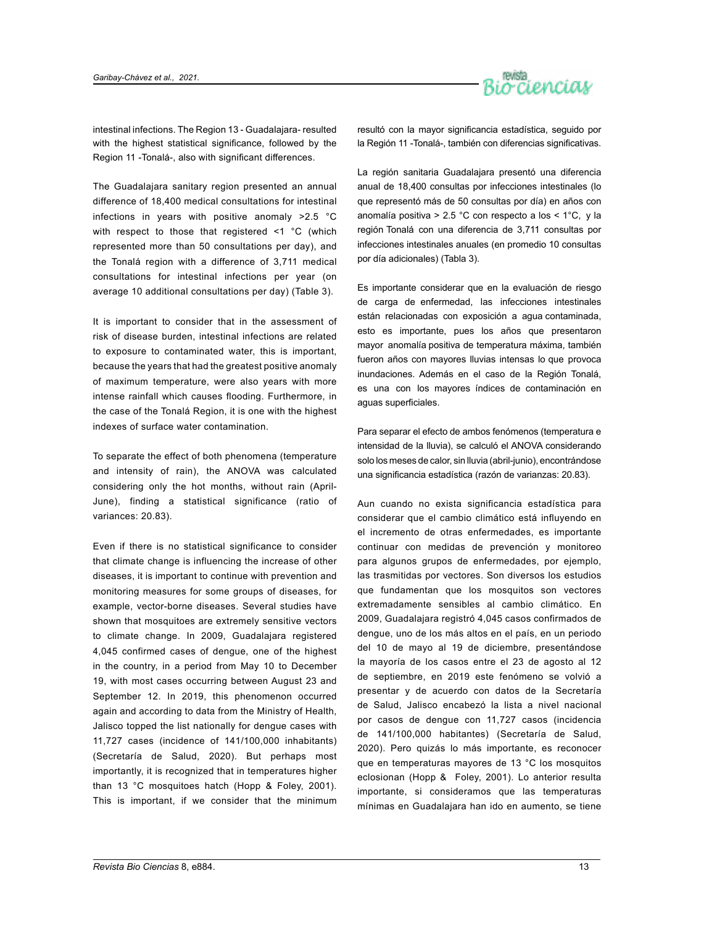

intestinal infections. The Region 13 - Guadalajara- resulted with the highest statistical significance, followed by the Region 11 -Tonalá-, also with significant differences.

The Guadalajara sanitary region presented an annual difference of 18,400 medical consultations for intestinal infections in years with positive anomaly >2.5 °C with respect to those that registered <1 °C (which represented more than 50 consultations per day), and the Tonalá region with a difference of 3,711 medical consultations for intestinal infections per year (on average 10 additional consultations per day) (Table 3).

It is important to consider that in the assessment of risk of disease burden, intestinal infections are related to exposure to contaminated water, this is important, because the years that had the greatest positive anomaly of maximum temperature, were also years with more intense rainfall which causes flooding. Furthermore, in the case of the Tonalá Region, it is one with the highest indexes of surface water contamination.

To separate the effect of both phenomena (temperature and intensity of rain), the ANOVA was calculated considering only the hot months, without rain (April-June), finding a statistical significance (ratio of variances: 20.83).

Even if there is no statistical significance to consider that climate change is influencing the increase of other diseases, it is important to continue with prevention and monitoring measures for some groups of diseases, for example, vector-borne diseases. Several studies have shown that mosquitoes are extremely sensitive vectors to climate change. In 2009, Guadalajara registered 4,045 confirmed cases of dengue, one of the highest in the country, in a period from May 10 to December 19, with most cases occurring between August 23 and September 12. In 2019, this phenomenon occurred again and according to data from the Ministry of Health, Jalisco topped the list nationally for dengue cases with 11,727 cases (incidence of 141/100,000 inhabitants) (Secretaría de Salud, 2020). But perhaps most importantly, it is recognized that in temperatures higher than 13 °C mosquitoes hatch (Hopp & Foley, 2001). This is important, if we consider that the minimum

resultó con la mayor significancia estadística, seguido por la Región 11 -Tonalá-, también con diferencias significativas.

La región sanitaria Guadalajara presentó una diferencia anual de 18,400 consultas por infecciones intestinales (lo que representó más de 50 consultas por día) en años con anomalía positiva > 2.5 °C con respecto a los < 1°C, y la región Tonalá con una diferencia de 3,711 consultas por infecciones intestinales anuales (en promedio 10 consultas por día adicionales) (Tabla 3).

Es importante considerar que en la evaluación de riesgo de carga de enfermedad, las infecciones intestinales están relacionadas con exposición a agua contaminada, esto es importante, pues los años que presentaron mayor anomalía positiva de temperatura máxima, también fueron años con mayores lluvias intensas lo que provoca inundaciones. Además en el caso de la Región Tonalá, es una con los mayores índices de contaminación en aguas superficiales.

Para separar el efecto de ambos fenómenos (temperatura e intensidad de la lluvia), se calculó el ANOVA considerando solo los meses de calor, sin lluvia (abril-junio), encontrándose una significancia estadística (razón de varianzas: 20.83).

Aun cuando no exista significancia estadística para considerar que el cambio climático está influyendo en el incremento de otras enfermedades, es importante continuar con medidas de prevención y monitoreo para algunos grupos de enfermedades, por ejemplo, las trasmitidas por vectores. Son diversos los estudios que fundamentan que los mosquitos son vectores extremadamente sensibles al cambio climático. En 2009, Guadalajara registró 4,045 casos confirmados de dengue, uno de los más altos en el país, en un periodo del 10 de mayo al 19 de diciembre, presentándose la mayoría de los casos entre el 23 de agosto al 12 de septiembre, en 2019 este fenómeno se volvió a presentar y de acuerdo con datos de la Secretaría de Salud, Jalisco encabezó la lista a nivel nacional por casos de dengue con 11,727 casos (incidencia de 141/100,000 habitantes) (Secretaría de Salud, 2020). Pero quizás lo más importante, es reconocer que en temperaturas mayores de 13 °C los mosquitos eclosionan (Hopp & Foley, 2001). Lo anterior resulta importante, si consideramos que las temperaturas mínimas en Guadalajara han ido en aumento, se tiene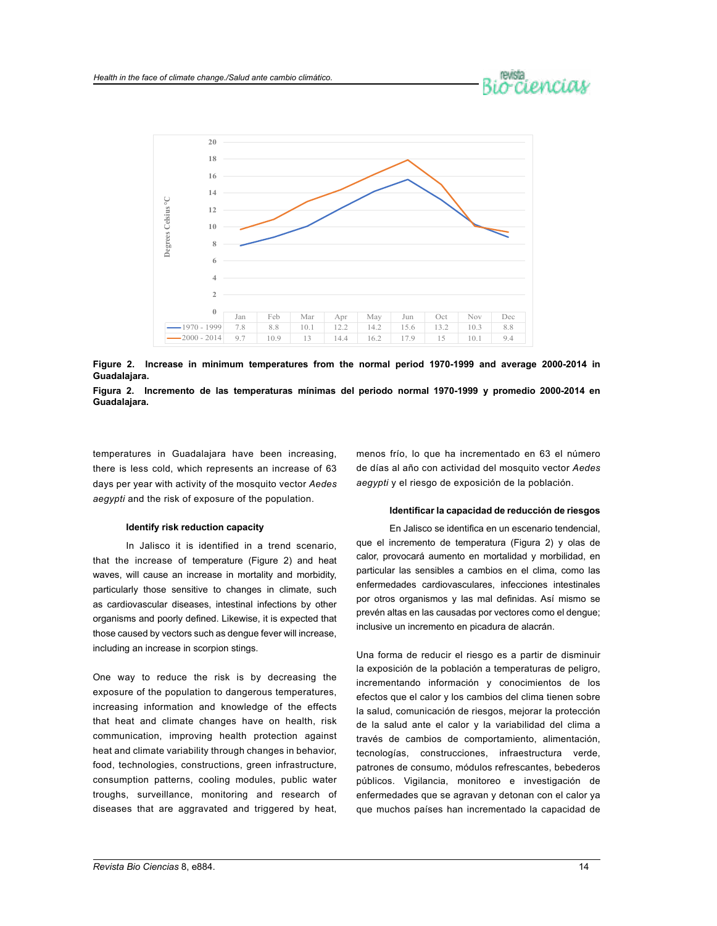



**Figure 2. Increase in minimum temperatures from the normal period 1970-1999 and average 2000-2014 in Guadalajara.**



temperatures in Guadalajara have been increasing, there is less cold, which represents an increase of 63 days per year with activity of the mosquito vector *Aedes aegypti* and the risk of exposure of the population.

#### **Identify risk reduction capacity**

In Jalisco it is identified in a trend scenario, that the increase of temperature (Figure 2) and heat waves, will cause an increase in mortality and morbidity, particularly those sensitive to changes in climate, such as cardiovascular diseases, intestinal infections by other organisms and poorly defined. Likewise, it is expected that those caused by vectors such as dengue fever will increase, including an increase in scorpion stings.

One way to reduce the risk is by decreasing the exposure of the population to dangerous temperatures, increasing information and knowledge of the effects that heat and climate changes have on health, risk communication, improving health protection against heat and climate variability through changes in behavior, food, technologies, constructions, green infrastructure, consumption patterns, cooling modules, public water troughs, surveillance, monitoring and research of diseases that are aggravated and triggered by heat,

menos frío, lo que ha incrementado en 63 el número de días al año con actividad del mosquito vector *Aedes aegypti* y el riesgo de exposición de la población.

#### **Identificar la capacidad de reducción de riesgos**

En Jalisco se identifica en un escenario tendencial, que el incremento de temperatura (Figura 2) y olas de calor, provocará aumento en mortalidad y morbilidad, en particular las sensibles a cambios en el clima, como las enfermedades cardiovasculares, infecciones intestinales por otros organismos y las mal definidas. Así mismo se prevén altas en las causadas por vectores como el dengue; inclusive un incremento en picadura de alacrán.

Una forma de reducir el riesgo es a partir de disminuir la exposición de la población a temperaturas de peligro, incrementando información y conocimientos de los efectos que el calor y los cambios del clima tienen sobre la salud, comunicación de riesgos, mejorar la protección de la salud ante el calor y la variabilidad del clima a través de cambios de comportamiento, alimentación, tecnologías, construcciones, infraestructura verde, patrones de consumo, módulos refrescantes, bebederos públicos. Vigilancia, monitoreo e investigación de enfermedades que se agravan y detonan con el calor ya que muchos países han incrementado la capacidad de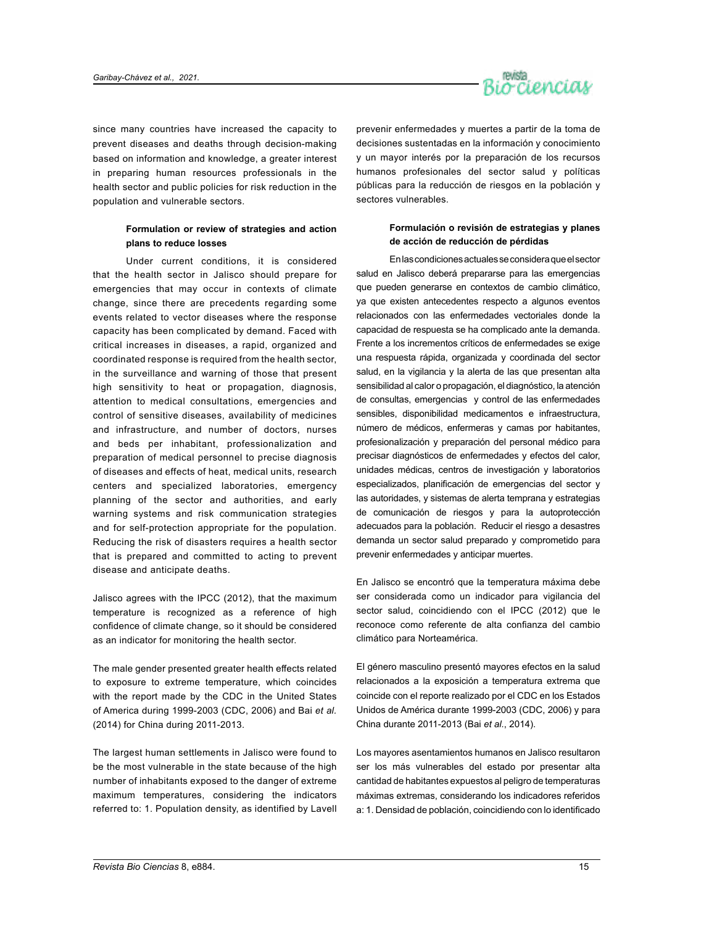

since many countries have increased the capacity to prevent diseases and deaths through decision-making based on information and knowledge, a greater interest in preparing human resources professionals in the health sector and public policies for risk reduction in the population and vulnerable sectors.

## **Formulation or review of strategies and action plans to reduce losses**

Under current conditions, it is considered that the health sector in Jalisco should prepare for emergencies that may occur in contexts of climate change, since there are precedents regarding some events related to vector diseases where the response capacity has been complicated by demand. Faced with critical increases in diseases, a rapid, organized and coordinated response is required from the health sector, in the surveillance and warning of those that present high sensitivity to heat or propagation, diagnosis, attention to medical consultations, emergencies and control of sensitive diseases, availability of medicines and infrastructure, and number of doctors, nurses and beds per inhabitant, professionalization and preparation of medical personnel to precise diagnosis of diseases and effects of heat, medical units, research centers and specialized laboratories, emergency planning of the sector and authorities, and early warning systems and risk communication strategies and for self-protection appropriate for the population. Reducing the risk of disasters requires a health sector that is prepared and committed to acting to prevent disease and anticipate deaths.

Jalisco agrees with the IPCC (2012), that the maximum temperature is recognized as a reference of high confidence of climate change, so it should be considered as an indicator for monitoring the health sector.

The male gender presented greater health effects related to exposure to extreme temperature, which coincides with the report made by the CDC in the United States of America during 1999-2003 (CDC, 2006) and Bai *et al.*  (2014) for China during 2011-2013.

The largest human settlements in Jalisco were found to be the most vulnerable in the state because of the high number of inhabitants exposed to the danger of extreme maximum temperatures, considering the indicators referred to: 1. Population density, as identified by Lavell prevenir enfermedades y muertes a partir de la toma de decisiones sustentadas en la información y conocimiento y un mayor interés por la preparación de los recursos humanos profesionales del sector salud y políticas públicas para la reducción de riesgos en la población y sectores vulnerables.

### **Formulación o revisión de estrategias y planes de acción de reducción de pérdidas**

En las condiciones actuales se considera que el sector salud en Jalisco deberá prepararse para las emergencias que pueden generarse en contextos de cambio climático, ya que existen antecedentes respecto a algunos eventos relacionados con las enfermedades vectoriales donde la capacidad de respuesta se ha complicado ante la demanda. Frente a los incrementos críticos de enfermedades se exige una respuesta rápida, organizada y coordinada del sector salud, en la vigilancia y la alerta de las que presentan alta sensibilidad al calor o propagación, el diagnóstico, la atención de consultas, emergencias y control de las enfermedades sensibles, disponibilidad medicamentos e infraestructura, número de médicos, enfermeras y camas por habitantes, profesionalización y preparación del personal médico para precisar diagnósticos de enfermedades y efectos del calor, unidades médicas, centros de investigación y laboratorios especializados, planificación de emergencias del sector y las autoridades, y sistemas de alerta temprana y estrategias de comunicación de riesgos y para la autoprotección adecuados para la población. Reducir el riesgo a desastres demanda un sector salud preparado y comprometido para prevenir enfermedades y anticipar muertes.

En Jalisco se encontró que la temperatura máxima debe ser considerada como un indicador para vigilancia del sector salud, coincidiendo con el IPCC (2012) que le reconoce como referente de alta confianza del cambio climático para Norteamérica.

El género masculino presentó mayores efectos en la salud relacionados a la exposición a temperatura extrema que coincide con el reporte realizado por el CDC en los Estados Unidos de América durante 1999-2003 (CDC, 2006) y para China durante 2011-2013 (Bai *et al.*, 2014).

Los mayores asentamientos humanos en Jalisco resultaron ser los más vulnerables del estado por presentar alta cantidad de habitantes expuestos al peligro de temperaturas máximas extremas, considerando los indicadores referidos a: 1. Densidad de población, coincidiendo con lo identificado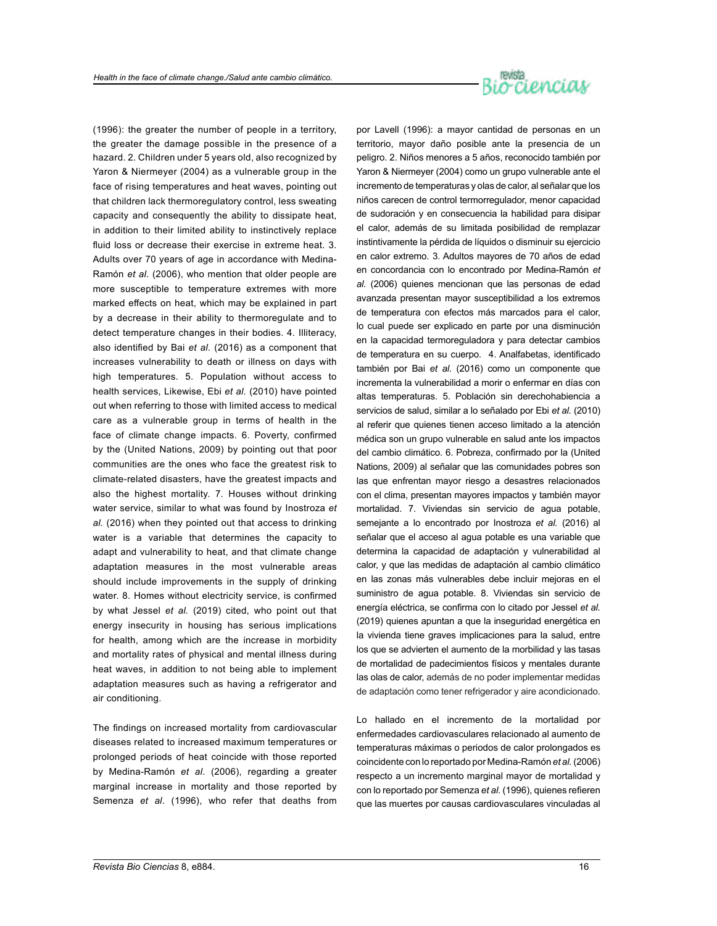

(1996): the greater the number of people in a territory, the greater the damage possible in the presence of a hazard. 2. Children under 5 years old, also recognized by Yaron & Niermeyer (2004) as a vulnerable group in the face of rising temperatures and heat waves, pointing out that children lack thermoregulatory control, less sweating capacity and consequently the ability to dissipate heat, in addition to their limited ability to instinctively replace fluid loss or decrease their exercise in extreme heat. 3. Adults over 70 years of age in accordance with Medina-Ramón *et al.* (2006), who mention that older people are more susceptible to temperature extremes with more marked effects on heat, which may be explained in part by a decrease in their ability to thermoregulate and to detect temperature changes in their bodies. 4. Illiteracy, also identified by Bai *et al.* (2016) as a component that increases vulnerability to death or illness on days with high temperatures. 5. Population without access to health services, Likewise, Ebi *et al.* (2010) have pointed out when referring to those with limited access to medical care as a vulnerable group in terms of health in the face of climate change impacts. 6. Poverty, confirmed by the (United Nations, 2009) by pointing out that poor communities are the ones who face the greatest risk to climate-related disasters, have the greatest impacts and also the highest mortality. 7. Houses without drinking water service, similar to what was found by Inostroza *et al.* (2016) when they pointed out that access to drinking water is a variable that determines the capacity to adapt and vulnerability to heat, and that climate change adaptation measures in the most vulnerable areas should include improvements in the supply of drinking water. 8. Homes without electricity service, is confirmed by what Jessel *et al.* (2019) cited, who point out that energy insecurity in housing has serious implications for health, among which are the increase in morbidity and mortality rates of physical and mental illness during heat waves, in addition to not being able to implement adaptation measures such as having a refrigerator and air conditioning.

The findings on increased mortality from cardiovascular diseases related to increased maximum temperatures or prolonged periods of heat coincide with those reported by Medina-Ramón *et al*. (2006), regarding a greater marginal increase in mortality and those reported by Semenza *et al*. (1996), who refer that deaths from por Lavell (1996): a mayor cantidad de personas en un territorio, mayor daño posible ante la presencia de un peligro. 2. Niños menores a 5 años, reconocido también por Yaron & Niermeyer (2004) como un grupo vulnerable ante el incremento de temperaturas y olas de calor, al señalar que los niños carecen de control termorregulador, menor capacidad de sudoración y en consecuencia la habilidad para disipar el calor, además de su limitada posibilidad de remplazar instintivamente la pérdida de líquidos o disminuir su ejercicio en calor extremo. 3. Adultos mayores de 70 años de edad en concordancia con lo encontrado por Medina-Ramón *et al.* (2006) quienes mencionan que las personas de edad avanzada presentan mayor susceptibilidad a los extremos de temperatura con efectos más marcados para el calor, lo cual puede ser explicado en parte por una disminución en la capacidad termoreguladora y para detectar cambios de temperatura en su cuerpo. 4. Analfabetas, identificado también por Bai *et al.* (2016) como un componente que incrementa la vulnerabilidad a morir o enfermar en días con altas temperaturas. 5. Población sin derechohabiencia a servicios de salud, similar a lo señalado por Ebi *et al.* (2010) al referir que quienes tienen acceso limitado a la atención médica son un grupo vulnerable en salud ante los impactos del cambio climático. 6. Pobreza, confirmado por la (United Nations, 2009) al señalar que las comunidades pobres son las que enfrentan mayor riesgo a desastres relacionados con el clima, presentan mayores impactos y también mayor mortalidad. 7. Viviendas sin servicio de agua potable, semejante a lo encontrado por Inostroza *et al.* (2016) al señalar que el acceso al agua potable es una variable que determina la capacidad de adaptación y vulnerabilidad al calor, y que las medidas de adaptación al cambio climático en las zonas más vulnerables debe incluir mejoras en el suministro de agua potable. 8. Viviendas sin servicio de energía eléctrica, se confirma con lo citado por Jessel *et al.* (2019) quienes apuntan a que la inseguridad energética en la vivienda tiene graves implicaciones para la salud, entre los que se advierten el aumento de la morbilidad y las tasas de mortalidad de padecimientos físicos y mentales durante las olas de calor, además de no poder implementar medidas de adaptación como tener refrigerador y aire acondicionado.

Lo hallado en el incremento de la mortalidad por enfermedades cardiovasculares relacionado al aumento de temperaturas máximas o periodos de calor prolongados es coincidente con lo reportado por Medina-Ramón *et al.* (2006) respecto a un incremento marginal mayor de mortalidad y con lo reportado por Semenza *et al.* (1996), quienes refieren que las muertes por causas cardiovasculares vinculadas al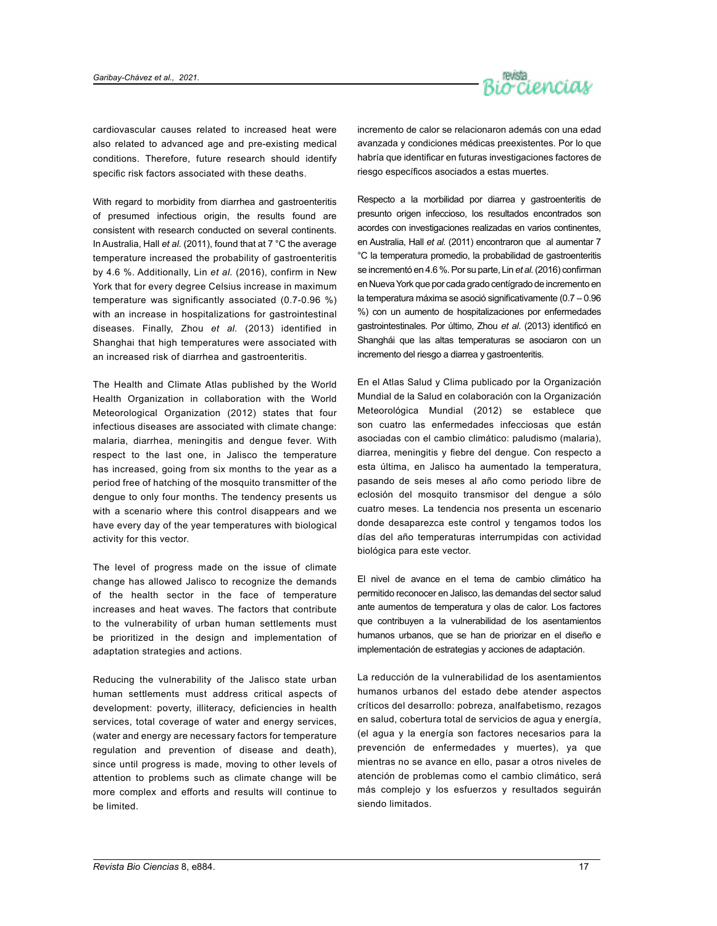

cardiovascular causes related to increased heat were also related to advanced age and pre-existing medical conditions. Therefore, future research should identify specific risk factors associated with these deaths.

With regard to morbidity from diarrhea and gastroenteritis of presumed infectious origin, the results found are consistent with research conducted on several continents. In Australia, Hall *et al.* (2011), found that at 7 °C the average temperature increased the probability of gastroenteritis by 4.6 %. Additionally, Lin *et al.* (2016), confirm in New York that for every degree Celsius increase in maximum temperature was significantly associated (0.7-0.96 %) with an increase in hospitalizations for gastrointestinal diseases. Finally, Zhou *et al.* (2013) identified in Shanghai that high temperatures were associated with an increased risk of diarrhea and gastroenteritis.

The Health and Climate Atlas published by the World Health Organization in collaboration with the World Meteorological Organization (2012) states that four infectious diseases are associated with climate change: malaria, diarrhea, meningitis and dengue fever. With respect to the last one, in Jalisco the temperature has increased, going from six months to the year as a period free of hatching of the mosquito transmitter of the dengue to only four months. The tendency presents us with a scenario where this control disappears and we have every day of the year temperatures with biological activity for this vector.

The level of progress made on the issue of climate change has allowed Jalisco to recognize the demands of the health sector in the face of temperature increases and heat waves. The factors that contribute to the vulnerability of urban human settlements must be prioritized in the design and implementation of adaptation strategies and actions.

Reducing the vulnerability of the Jalisco state urban human settlements must address critical aspects of development: poverty, illiteracy, deficiencies in health services, total coverage of water and energy services, (water and energy are necessary factors for temperature regulation and prevention of disease and death), since until progress is made, moving to other levels of attention to problems such as climate change will be more complex and efforts and results will continue to be limited.

incremento de calor se relacionaron además con una edad avanzada y condiciones médicas preexistentes. Por lo que habría que identificar en futuras investigaciones factores de riesgo específicos asociados a estas muertes.

Respecto a la morbilidad por diarrea y gastroenteritis de presunto origen infeccioso, los resultados encontrados son acordes con investigaciones realizadas en varios continentes, en Australia, Hall *et al.* (2011) encontraron que al aumentar 7 °C la temperatura promedio, la probabilidad de gastroenteritis se incrementó en 4.6 %. Por su parte, Lin *et al.* (2016) confirman en Nueva York que por cada grado centígrado de incremento en la temperatura máxima se asoció significativamente (0.7 – 0.96 %) con un aumento de hospitalizaciones por enfermedades gastrointestinales. Por último, Zhou *et al*. (2013) identificó en Shanghái que las altas temperaturas se asociaron con un incremento del riesgo a diarrea y gastroenteritis.

En el Atlas Salud y Clima publicado por la Organización Mundial de la Salud en colaboración con la Organización Meteorológica Mundial (2012) se establece que son cuatro las enfermedades infecciosas que están asociadas con el cambio climático: paludismo (malaria), diarrea, meningitis y fiebre del dengue. Con respecto a esta última, en Jalisco ha aumentado la temperatura, pasando de seis meses al año como periodo libre de eclosión del mosquito transmisor del dengue a sólo cuatro meses. La tendencia nos presenta un escenario donde desaparezca este control y tengamos todos los días del año temperaturas interrumpidas con actividad biológica para este vector.

El nivel de avance en el tema de cambio climático ha permitido reconocer en Jalisco, las demandas del sector salud ante aumentos de temperatura y olas de calor. Los factores que contribuyen a la vulnerabilidad de los asentamientos humanos urbanos, que se han de priorizar en el diseño e implementación de estrategias y acciones de adaptación.

La reducción de la vulnerabilidad de los asentamientos humanos urbanos del estado debe atender aspectos críticos del desarrollo: pobreza, analfabetismo, rezagos en salud, cobertura total de servicios de agua y energía, (el agua y la energía son factores necesarios para la prevención de enfermedades y muertes), ya que mientras no se avance en ello, pasar a otros niveles de atención de problemas como el cambio climático, será más complejo y los esfuerzos y resultados seguirán siendo limitados.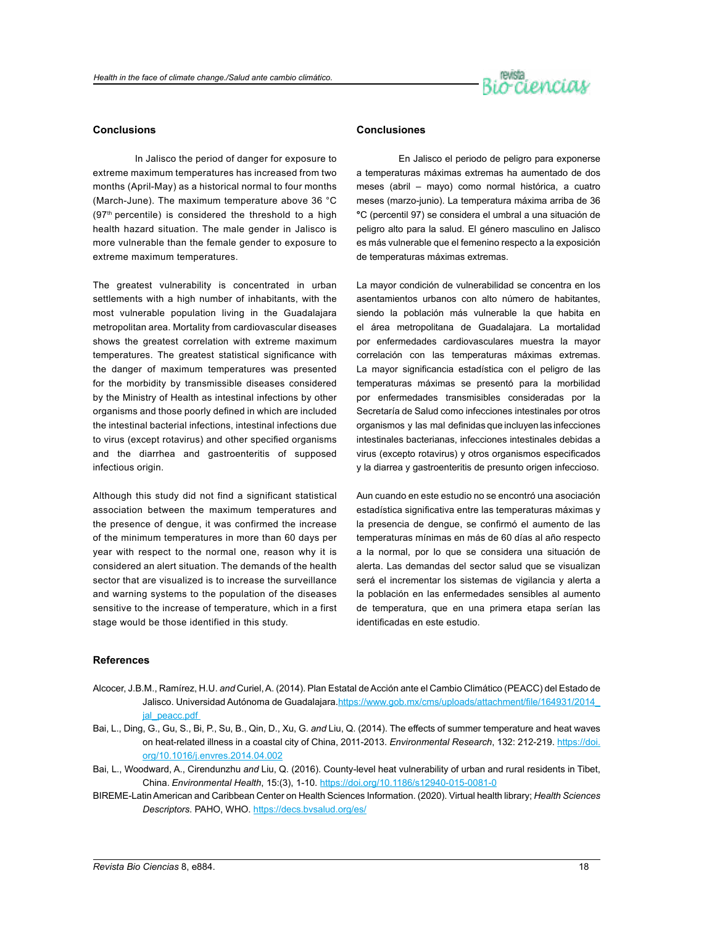

#### **Conclusions**

In Jalisco the period of danger for exposure to extreme maximum temperatures has increased from two months (April-May) as a historical normal to four months (March-June). The maximum temperature above 36 °C  $(97<sup>th</sup>$  percentile) is considered the threshold to a high health hazard situation. The male gender in Jalisco is more vulnerable than the female gender to exposure to extreme maximum temperatures.

The greatest vulnerability is concentrated in urban settlements with a high number of inhabitants, with the most vulnerable population living in the Guadalajara metropolitan area. Mortality from cardiovascular diseases shows the greatest correlation with extreme maximum temperatures. The greatest statistical significance with the danger of maximum temperatures was presented for the morbidity by transmissible diseases considered by the Ministry of Health as intestinal infections by other organisms and those poorly defined in which are included the intestinal bacterial infections, intestinal infections due to virus (except rotavirus) and other specified organisms and the diarrhea and gastroenteritis of supposed infectious origin.

Although this study did not find a significant statistical association between the maximum temperatures and the presence of dengue, it was confirmed the increase of the minimum temperatures in more than 60 days per year with respect to the normal one, reason why it is considered an alert situation. The demands of the health sector that are visualized is to increase the surveillance and warning systems to the population of the diseases sensitive to the increase of temperature, which in a first stage would be those identified in this study.

### **Conclusiones**

En Jalisco el periodo de peligro para exponerse a temperaturas máximas extremas ha aumentado de dos meses (abril – mayo) como normal histórica, a cuatro meses (marzo-junio). La temperatura máxima arriba de 36 **°**C (percentil 97) se considera el umbral a una situación de peligro alto para la salud. El género masculino en Jalisco es más vulnerable que el femenino respecto a la exposición de temperaturas máximas extremas.

La mayor condición de vulnerabilidad se concentra en los asentamientos urbanos con alto número de habitantes, siendo la población más vulnerable la que habita en el área metropolitana de Guadalajara. La mortalidad por enfermedades cardiovasculares muestra la mayor correlación con las temperaturas máximas extremas. La mayor significancia estadística con el peligro de las temperaturas máximas se presentó para la morbilidad por enfermedades transmisibles consideradas por la Secretaría de Salud como infecciones intestinales por otros organismos y las mal definidas que incluyen las infecciones intestinales bacterianas, infecciones intestinales debidas a virus (excepto rotavirus) y otros organismos especificados y la diarrea y gastroenteritis de presunto origen infeccioso.

Aun cuando en este estudio no se encontró una asociación estadística significativa entre las temperaturas máximas y la presencia de dengue, se confirmó el aumento de las temperaturas mínimas en más de 60 días al año respecto a la normal, por lo que se considera una situación de alerta. Las demandas del sector salud que se visualizan será el incrementar los sistemas de vigilancia y alerta a la población en las enfermedades sensibles al aumento de temperatura, que en una primera etapa serían las identificadas en este estudio.

#### **References**

- Alcocer, J.B.M., Ramírez, H.U. *and* Curiel, A. (2014). Plan Estatal de Acción ante el Cambio Climático (PEACC) del Estado de Jalisco. Universidad Autónoma de Guadalajara.[https://www.gob.mx/cms/uploads/attachment/file/164931/2014\\_](https://www.gob.mx/cms/uploads/attachment/file/164931/2014_jal_peacc.pdf) ial\_peacc.pdf
- Bai, L., Ding, G., Gu, S., Bi, P., Su, B., Qin, D., Xu, G. *and* Liu, Q. (2014). The effects of summer temperature and heat waves on heat-related illness in a coastal city of China, 2011-2013. *Environmental Research*, 132: 212-219. [https://doi.](https://doi.org/10.1016/j.envres.2014.04.002) [org/10.1016/j.envres.2014.04.002](https://doi.org/10.1016/j.envres.2014.04.002)
- Bai, L., Woodward, A., Cirendunzhu *and* Liu, Q. (2016). County-level heat vulnerability of urban and rural residents in Tibet, China. *Environmental Health*, 15:(3), 1-10.<https://doi.org/10.1186/s12940-015-0081-0>
- BIREME-Latin American and Caribbean Center on Health Sciences Information. (2020). Virtual health library; *Health Sciences Descriptors*. PAHO, WHO. <https://decs.bvsalud.org/es/>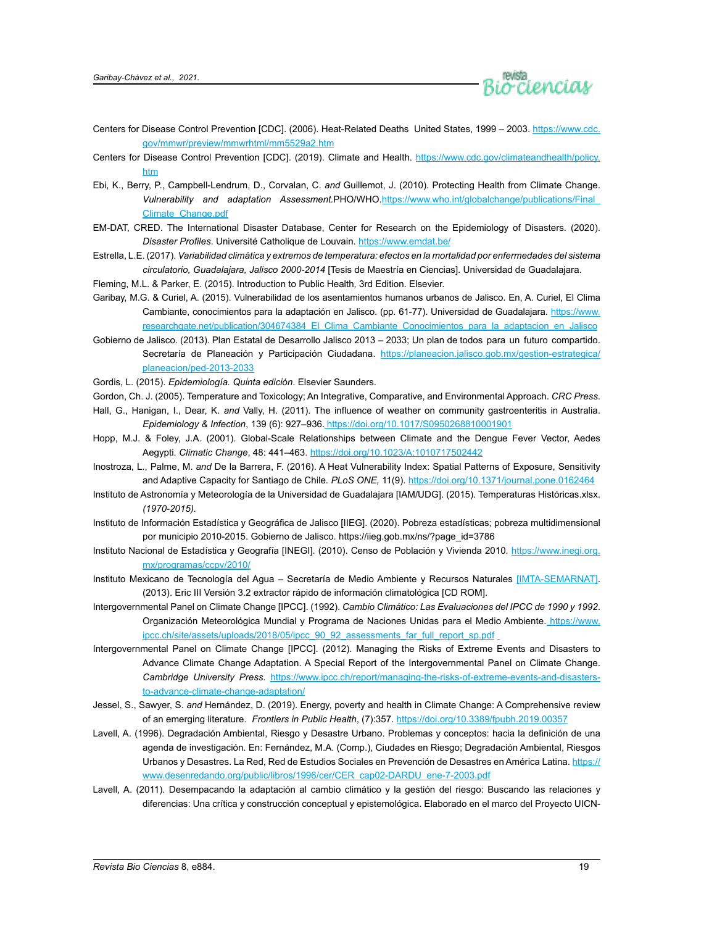

- Centers for Disease Control Prevention [CDC]. (2006). Heat-Related Deaths United States, 1999 2003. [https://www.cdc.](https://www.cdc.gov/mmwr/preview/mmwrhtml/mm5529a2.htm) [gov/mmwr/preview/mmwrhtml/mm5529a2.htm](https://www.cdc.gov/mmwr/preview/mmwrhtml/mm5529a2.htm)
- Centers for Disease Control Prevention [CDC]. (2019). Climate and Health. [https://www.cdc.gov/climateandhealth/policy.](https://www.cdc.gov/climateandhealth/policy.htm) [htm](https://www.cdc.gov/climateandhealth/policy.htm)
- Ebi, K., Berry, P., Campbell-Lendrum, D., Corvalan, C. *and* Guillemot, J. (2010). Protecting Health from Climate Change. *Vulnerability and adaptation Assessment.*PHO/WHO.[https://www.who.int/globalchange/publications/Final\\_](https://www.who.int/globalchange/publications/Final_Climate_Change.pdf) [Climate\\_Change.pdf](https://www.who.int/globalchange/publications/Final_Climate_Change.pdf)
- EM-DAT, CRED. The International Disaster Database, Center for Research on the Epidemiology of Disasters. (2020). *Disaster Profiles*. Université Catholique de Louvain.<https://www.emdat.be/>
- Estrella, L.E. (2017). *Variabilidad climática y extremos de temperatura: efectos en la mortalidad por enfermedades del sistema circulatorio, Guadalajara, Jalisco 2000-2014* [Tesis de Maestría en Ciencias]. Universidad de Guadalajara.
- Fleming, M.L. & Parker, E. (2015). Introduction to Public Health*,* 3rd Edition. Elsevier.
- Garibay, M.G. & Curiel, A. (2015). Vulnerabilidad de los asentamientos humanos urbanos de Jalisco. En, A. Curiel, El Clima Cambiante, conocimientos para la adaptación en Jalisco. (pp. 61-77). Universidad de Guadalajara. [https://www.](https://www.researchgate.net/publication/304674384_El_Clima_Cambiante_Conocimientos_para_la_adaptacion_en_Jalisco) [researchgate.net/publication/304674384\\_El\\_Clima\\_Cambiante\\_Conocimientos\\_para\\_la\\_adaptacion\\_en\\_Jalisco](https://www.researchgate.net/publication/304674384_El_Clima_Cambiante_Conocimientos_para_la_adaptacion_en_Jalisco)
- Gobierno de Jalisco. (2013). Plan Estatal de Desarrollo Jalisco 2013 2033; Un plan de todos para un futuro compartido. Secretaría de Planeación y Participación Ciudadana. [https://planeacion.jalisco.gob.mx/gestion-estrategica/](https://planeacion.jalisco.gob.mx/gestion-estrategica/planeacion/ped-2013-2033) [planeacion/ped-2013-2033](https://planeacion.jalisco.gob.mx/gestion-estrategica/planeacion/ped-2013-2033)
- Gordis, L. (2015). *Epidemiología. Quinta edición*. Elsevier Saunders.
- Gordon, Ch. J. (2005). Temperature and Toxicology; An Integrative, Comparative, and Environmental Approach. *CRC Press*.
- Hall, G., Hanigan, I., Dear, K. *and* Vally, H. (2011). The influence of weather on community gastroenteritis in Australia. *Epidemiology & Infection*, 139 (6): 927–936. <https://doi.org/10.1017/S0950268810001901>
- Hopp, M.J. & Foley, J.A. (2001). Global-Scale Relationships between Climate and the Dengue Fever Vector, Aedes Aegypti*. Climatic Change*, 48: 441–463.<https://doi.org/10.1023/A:1010717502442>
- Inostroza, L., Palme, M. *and* De la Barrera, F. (2016). A Heat Vulnerability Index: Spatial Patterns of Exposure, Sensitivity and Adaptive Capacity for Santiago de Chile*. PLoS ONE,* 11(9). <https://doi.org/10.1371/journal.pone.0162464>
- Instituto de Astronomía y Meteorología de la Universidad de Guadalajara [IAM/UDG]. (2015). Temperaturas Históricas.xlsx. *(1970-2015).*
- Instituto de Información Estadística y Geográfica de Jalisco [IIEG]. (2020). Pobreza estadísticas; pobreza multidimensional por municipio 2010-2015. Gobierno de Jalisco. [https://iieg.gob.mx/ns/?page\\_id=3786](https://iieg.gob.mx/ns/?page_id=3786)
- Instituto Nacional de Estadística y Geografía [INEGI]. (2010). Censo de Población y Vivienda 2010*.* [https://www.inegi.org.](https://www.inegi.org.mx/programas/ccpv/2010/) [mx/programas/ccpv/2010/](https://www.inegi.org.mx/programas/ccpv/2010/)
- Instituto Mexicano de Tecnología del Agua Secretaría de Medio Ambiente y Recursos Naturales [IMTA-SEMARNAT]. (2013). Eric III Versión 3.2 extractor rápido de información climatológica [CD ROM].
- Intergovernmental Panel on Climate Change [IPCC]. (1992). *Cambio Climático: Las Evaluaciones del IPCC de 1990 y 1992*. Organización Meteorológica Mundial y Programa de Naciones Unidas para el Medio Ambiente. [https://www.](https://www.ipcc.ch/site/assets/uploads/2018/05/ipcc_90_92_assessments_far_full_report_sp.pdf) [ipcc.ch/site/assets/uploads/2018/05/ipcc\\_90\\_92\\_assessments\\_far\\_full\\_report\\_sp.pdf](https://www.ipcc.ch/site/assets/uploads/2018/05/ipcc_90_92_assessments_far_full_report_sp.pdf)
- Intergovernmental Panel on Climate Change [IPCC]. (2012). Managing the Risks of Extreme Events and Disasters to Advance Climate Change Adaptation. A Special Report of the Intergovernmental Panel on Climate Change. *Cambridge University Press*. [https://www.ipcc.ch/report/managing-the-risks-of-extreme-events-and-disasters](https://www.ipcc.ch/report/managing-the-risks-of-extreme-events-and-disasters-to-advance-climate-change-adaptation/)[to-advance-climate-change-adaptation/](https://www.ipcc.ch/report/managing-the-risks-of-extreme-events-and-disasters-to-advance-climate-change-adaptation/)
- Jessel, S., Sawyer, S. *and* Hernández, D. (2019). Energy, poverty and health in Climate Change: A Comprehensive review of an emerging literature. *Frontiers in Public Health*, (7):357. <https://doi.org/10.3389/fpubh.2019.00357>
- Lavell, A. (1996). Degradación Ambiental, Riesgo y Desastre Urbano. Problemas y conceptos: hacia la definición de una agenda de investigación. En: Fernández, M.A. (Comp.), Ciudades en Riesgo; Degradación Ambiental, Riesgos Urbanos y Desastres. La Red, Red de Estudios Sociales en Prevención de Desastres en América Latina. [https://](https://www.desenredando.org/public/libros/1996/cer/CER_cap02-DARDU_ene-7-2003.pdf) [www.desenredando.org/public/libros/1996/cer/CER\\_cap02-DARDU\\_ene-7-2003.pdf](https://www.desenredando.org/public/libros/1996/cer/CER_cap02-DARDU_ene-7-2003.pdf)
- Lavell, A. (2011). Desempacando la adaptación al cambio climático y la gestión del riesgo: Buscando las relaciones y diferencias: Una crítica y construcción conceptual y epistemológica. Elaborado en el marco del Proyecto UICN-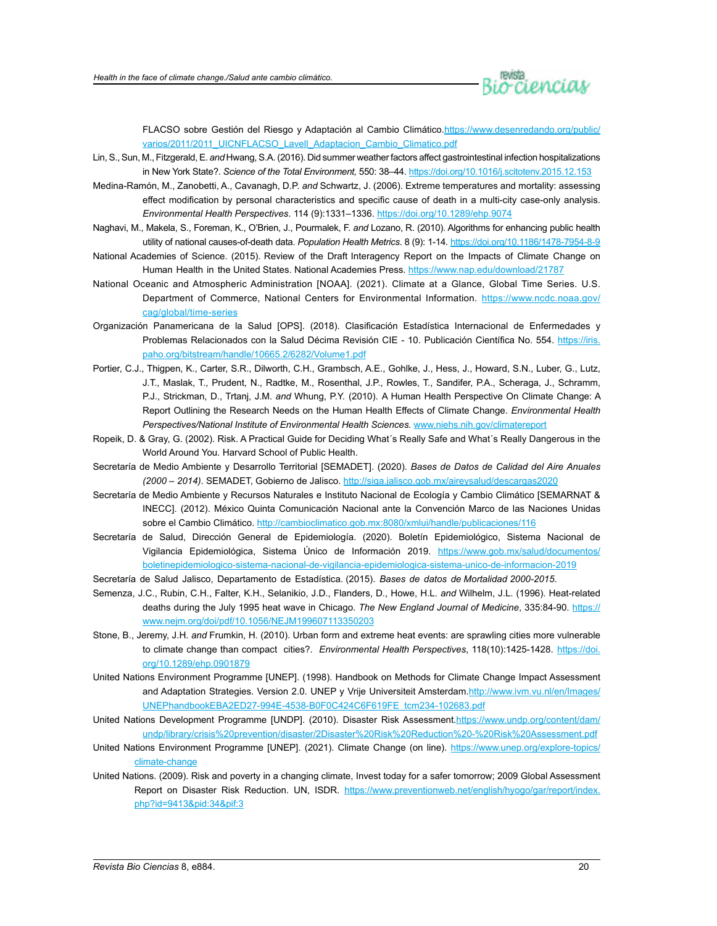

FLACSO sobre Gestión del Riesgo y Adaptación al Cambio Climático.[https://www.desenredando.org/public/](https://www.desenredando.org/public/varios/2011/2011_UICNFLACSO_Lavell_Adaptacion_Cambio_Climatico.pdf) [varios/2011/2011\\_UICNFLACSO\\_Lavell\\_Adaptacion\\_Cambio\\_Climatico.pdf](https://www.desenredando.org/public/varios/2011/2011_UICNFLACSO_Lavell_Adaptacion_Cambio_Climatico.pdf)

- Lin, S., Sun, M., Fitzgerald, E. *and* Hwang, S.A. (2016). Did summer weather factors affect gastrointestinal infection hospitalizations in New York State?. *Science of the Total Environment,* 550: 38–44.<https://doi.org/10.1016/j.scitotenv.2015.12.153>
- Medina-Ramón, M., Zanobetti, A., Cavanagh, D.P. *and* Schwartz, J. (2006). Extreme temperatures and mortality: assessing effect modification by personal characteristics and specific cause of death in a multi-city case-only analysis. *Environmental Health Perspectives*. 114 (9):1331–1336.<https://doi.org/10.1289/ehp.9074>
- Naghavi, M., Makela, S., Foreman, K., O'Brien, J., Pourmalek, F. *and* Lozano, R. (2010). Algorithms for enhancing public health utility of national causes-of-death data. *Population Health Metrics*. 8 (9): 1-14.<https://doi.org/10.1186/1478-7954-8-9>
- National Academies of Science. (2015). Review of the Draft Interagency Report on the Impacts of Climate Change on Human Health in the United States. National Academies Press. <https://www.nap.edu/download/21787>
- National Oceanic and Atmospheric Administration [NOAA]. (2021). Climate at a Glance, Global Time Series. U.S. Department of Commerce, National Centers for Environmental Information. [https://www.ncdc.noaa.gov/](https://www.ncdc.noaa.gov/cag/global/time-series) [cag/global/time-series](https://www.ncdc.noaa.gov/cag/global/time-series)
- Organización Panamericana de la Salud [OPS]. (2018). Clasificación Estadística Internacional de Enfermedades y Problemas Relacionados con la Salud Décima Revisión CIE - 10. Publicación Científica No. 554. https://iris. paho.org/bitstream/handle/10665.2/6282/Volume1.pdf
- Portier, C.J., Thigpen, K., Carter, S.R., Dilworth, C.H., Grambsch, A.E., Gohlke, J., Hess, J., Howard, S.N., Luber, G., Lutz, J.T., Maslak, T., Prudent, N., Radtke, M., Rosenthal, J.P., Rowles, T., Sandifer, P.A., Scheraga, J., Schramm, P.J., Strickman, D., Trtanj, J.M. *and* Whung, P.Y. (2010). A Human Health Perspective On Climate Change: A Report Outlining the Research Needs on the Human Health Effects of Climate Change. *Environmental Health Perspectives/National Institute of Environmental Health Sciences.* [www.niehs.nih.gov/climatereport](http://www.niehs.nih.gov/climatereport)
- Ropeik, D. & Gray, G. (2002). Risk. A Practical Guide for Deciding What´s Really Safe and What´s Really Dangerous in the World Around You*.* Harvard School of Public Health.
- Secretaría de Medio Ambiente y Desarrollo Territorial [SEMADET]. (2020). *Bases de Datos de Calidad del Aire Anuales (2000 – 2014)*. SEMADET, Gobierno de Jalisco. <http://siga.jalisco.gob.mx/aireysalud/descargas2020>
- Secretaría de Medio Ambiente y Recursos Naturales e Instituto Nacional de Ecología y Cambio Climático [SEMARNAT & INECC]. (2012). México Quinta Comunicación Nacional ante la Convención Marco de las Naciones Unidas sobre el Cambio Climático. <http://cambioclimatico.gob.mx:8080/xmlui/handle/publicaciones/116>
- Secretaría de Salud, Dirección General de Epidemiología. (2020). Boletín Epidemiológico, Sistema Nacional de Vigilancia Epidemiológica, Sistema Único de Información 2019. [https://www.gob.mx/salud/documentos/](https://www.gob.mx/salud/documentos/boletinepidemiologico-sistema-nacional-de-vigilancia-epidemiologica-sistema-unico-de-informacion-2019) [boletinepidemiologico-sistema-nacional-de-vigilancia-epidemiologica-sistema-unico-de-informacion-2019](https://www.gob.mx/salud/documentos/boletinepidemiologico-sistema-nacional-de-vigilancia-epidemiologica-sistema-unico-de-informacion-2019)
- Secretaría de Salud Jalisco, Departamento de Estadística. (2015). *Bases de datos de Mortalidad 2000-2015*.
- Semenza, J.C., Rubin, C.H., Falter, K.H., Selanikio, J.D., Flanders, D., Howe, H.L. *and* Wilhelm, J.L. (1996). Heat-related deaths during the July 1995 heat wave in Chicago. *The New England Journal of Medicine*, 335:84-90. [https://](https://www.nejm.org/doi/pdf/10.1056/NEJM199607113350203) [www.nejm.org/doi/pdf/10.1056/NEJM199607113350203](https://www.nejm.org/doi/pdf/10.1056/NEJM199607113350203)
- Stone, B., Jeremy, J.H. *and* Frumkin, H. (2010). Urban form and extreme heat events: are sprawling cities more vulnerable to climate change than compact cities?. *Environmental Health Perspectives*, 118(10):1425-1428. [https://doi.](https://doi.org/10.1289/ehp.0901879) [org/10.1289/ehp.0901879](https://doi.org/10.1289/ehp.0901879)
- United Nations Environment Programme [UNEP]. (1998). Handbook on Methods for Climate Change Impact Assessment and Adaptation Strategies. Version 2.0. UNEP y Vrije Universiteit Amsterdam.[http://www.ivm.vu.nl/en/Images/](http://www.ivm.vu.nl/en/Images/UNEPhandbookEBA2ED27-994E-4538-B0F0C424C6F619FE_tcm234-102683.pdf) [UNEPhandbookEBA2ED27-994E-4538-B0F0C424C6F619FE\\_tcm234-102683.pdf](http://www.ivm.vu.nl/en/Images/UNEPhandbookEBA2ED27-994E-4538-B0F0C424C6F619FE_tcm234-102683.pdf)
- United Nations Development Programme [UNDP]. (2010). Disaster Risk Assessment.[https://www.undp.org/content/dam/](https://www.undp.org/content/dam/undp/library/crisis%20prevention/disaster/2Disaster%20Risk%20Reduction%20-%20Risk%20Assessment.pdf) [undp/library/crisis%20prevention/disaster/2Disaster%20Risk%20Reduction%20-%20Risk%20Assessment.pdf](https://www.undp.org/content/dam/undp/library/crisis%20prevention/disaster/2Disaster%20Risk%20Reduction%20-%20Risk%20Assessment.pdf)
- United Nations Environment Programme [UNEP]. (2021). Climate Change (on line). [https://www.unep.org/explore-topics/](https://www.unep.org/explore-topics/climate-change) [climate-change](https://www.unep.org/explore-topics/climate-change)
- United Nations. (2009). Risk and poverty in a changing climate, Invest today for a safer tomorrow; 2009 Global Assessment Report on Disaster Risk Reduction. UN, ISDR. [https://www.preventionweb.net/english/hyogo/gar/report/index.](https://www.preventionweb.net/english/hyogo/gar/report/index.php?id=9413&pid:34&pif:3) [php?id=9413&pid:34&pif:3](https://www.preventionweb.net/english/hyogo/gar/report/index.php?id=9413&pid:34&pif:3)